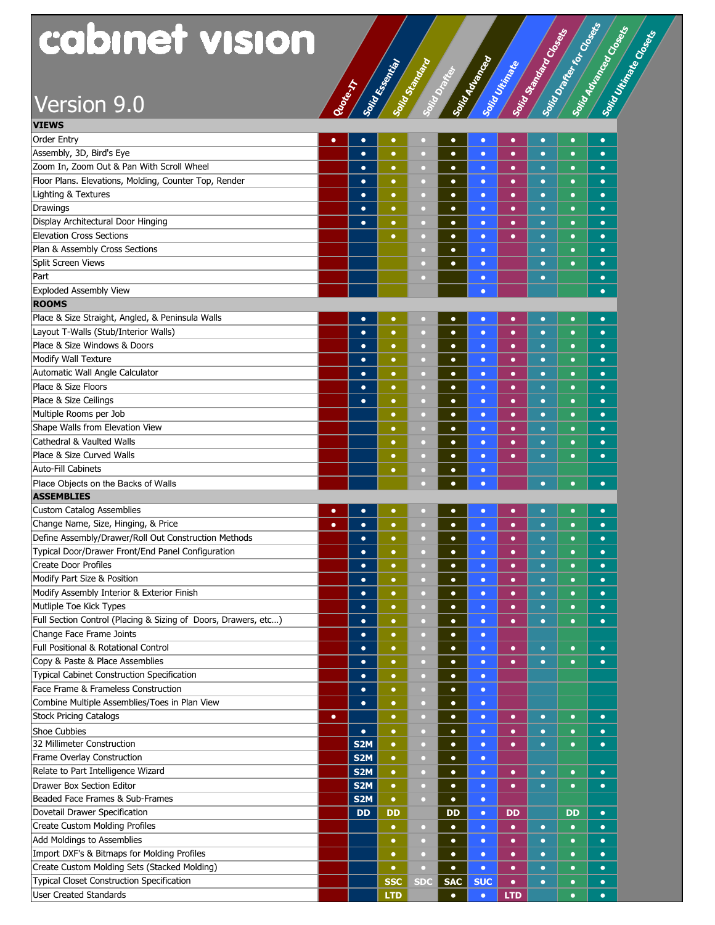# Version 9.0 **Quantity of Section 19.0**

| cabinet vision                                                        |           |                  |            |                                    |                        |                        |            | Solid Standard Coloration | Sonra Dames Res Conseils | Soint Marines Conservation |
|-----------------------------------------------------------------------|-----------|------------------|------------|------------------------------------|------------------------|------------------------|------------|---------------------------|--------------------------|----------------------------|
| Version 9.0                                                           |           | <b>Change</b>    |            | Sail Road Road Road Road Road Road |                        |                        |            |                           |                          |                            |
|                                                                       |           |                  |            |                                    |                        |                        |            |                           |                          |                            |
| <b>VIEWS</b>                                                          |           |                  |            |                                    |                        |                        |            |                           |                          |                            |
| <b>Order Entry</b>                                                    | $\bullet$ | $\bullet$        | $\bullet$  |                                    | $\bullet$              | $\bullet$              | $\bullet$  | $\bullet$                 | $\bullet$                | $\bullet$                  |
| Assembly, 3D, Bird's Eye<br>Zoom In, Zoom Out & Pan With Scroll Wheel |           | $\bullet$        | $\bullet$  | $\circ$                            | $\bullet$              | $\bullet$              | $\bullet$  | $\bullet$                 | $\bullet$                | $\bullet$                  |
|                                                                       |           | $\bullet$        | $\bullet$  | O                                  | $\bullet$              | $\bullet$              | $\bullet$  | $\bullet$                 | $\bullet$                | $\bullet$                  |
| Floor Plans. Elevations, Molding, Counter Top, Render                 |           | $\bullet$        | $\bullet$  | $\Box$                             | $\bullet$              | $\bullet$              | $\bullet$  | $\bullet$                 | $\bullet$                | $\bullet$                  |
| Lighting & Textures<br>Drawings                                       |           | $\bullet$        | $\bullet$  | $\Box$                             | $\bullet$              | $\bullet$              | $\bullet$  | $\bullet$                 | $\bullet$                | $\bullet$                  |
| Display Architectural Door Hinging                                    |           | $\bullet$        | $\bullet$  | $\Box$                             | $\bullet$              | $\bullet$              | $\bullet$  | $\bullet$                 | $\bullet$                | $\bullet$                  |
| <b>Elevation Cross Sections</b>                                       |           | $\bullet$        | $\bullet$  | $\Box$                             | $\bullet$              | $\bullet$              | $\bullet$  | $\bullet$                 | $\bullet$                | $\bullet$                  |
| Plan & Assembly Cross Sections                                        |           |                  | $\bullet$  | O                                  | $\bullet$<br>$\bullet$ | $\bullet$              | $\bullet$  | $\bullet$<br>$\bullet$    | $\bullet$<br>$\bullet$   | $\bullet$<br>$\bullet$     |
| Split Screen Views                                                    |           |                  |            | o                                  |                        | $\bullet$              |            |                           |                          |                            |
| Part                                                                  |           |                  |            | o                                  | $\bullet$              | $\bullet$<br>$\bullet$ |            | $\bullet$<br>$\bullet$    | $\bullet$                | $\bullet$<br>$\bullet$     |
| <b>Exploded Assembly View</b>                                         |           |                  |            |                                    |                        | $\bullet$              |            |                           |                          | $\bullet$                  |
| <b>ROOMS</b>                                                          |           |                  |            |                                    |                        |                        |            |                           |                          |                            |
| Place & Size Straight, Angled, & Peninsula Walls                      |           | $\bullet$        | $\bullet$  |                                    | $\bullet$              | $\bullet$              | $\bullet$  | $\bullet$                 | $\bullet$                | $\bullet$                  |
| Layout T-Walls (Stub/Interior Walls)                                  |           | $\bullet$        | $\bullet$  | $\Box$                             | $\bullet$              | $\bullet$              | $\bullet$  | $\bullet$                 | $\bullet$                | $\bullet$                  |
| Place & Size Windows & Doors                                          |           | $\bullet$        | $\bullet$  |                                    | $\bullet$              |                        | $\bullet$  | $\bullet$                 | $\bullet$                | $\bullet$                  |
| Modify Wall Texture                                                   |           | $\bullet$        | $\bullet$  | o<br>O                             | $\bullet$              | $\bullet$<br>$\bullet$ | $\bullet$  | $\bullet$                 | $\bullet$                | $\bullet$                  |
| Automatic Wall Angle Calculator                                       |           | $\bullet$        | $\bullet$  | O                                  | $\bullet$              | $\bullet$              | $\bullet$  | $\bullet$                 | $\bullet$                | $\bullet$                  |
| Place & Size Floors                                                   |           | $\bullet$        | $\bullet$  | O                                  | $\bullet$              | $\bullet$              | $\bullet$  | $\bullet$                 | $\bullet$                | $\bullet$                  |
| Place & Size Ceilings                                                 |           | $\bullet$        | $\bullet$  | O                                  | $\bullet$              | $\bullet$              | $\bullet$  | $\bullet$                 | $\bullet$                | $\bullet$                  |
| Multiple Rooms per Job                                                |           |                  | $\bullet$  | O                                  | $\bullet$              | $\bullet$              | $\bullet$  | $\bullet$                 | $\bullet$                | $\bullet$                  |
| Shape Walls from Elevation View                                       |           |                  | $\bullet$  |                                    | $\bullet$              | $\bullet$              | $\bullet$  | $\bullet$                 | $\bullet$                | $\bullet$                  |
| Cathedral & Vaulted Walls                                             |           |                  | $\bullet$  | n                                  | $\bullet$              | $\bullet$              | $\bullet$  | $\bullet$                 | $\bullet$                | $\bullet$                  |
| Place & Size Curved Walls                                             |           |                  | $\bullet$  | O                                  | $\bullet$              | $\bullet$              | $\bullet$  | $\bullet$                 | $\bullet$                | $\bullet$                  |
| Auto-Fill Cabinets                                                    |           |                  | $\bullet$  | n                                  | $\bullet$              | $\bullet$              |            |                           |                          |                            |
| Place Objects on the Backs of Walls                                   |           |                  |            |                                    | $\bullet$              | $\bullet$              |            | $\bullet$                 | $\bullet$                | $\bullet$                  |
| <b>ASSEMBLIES</b>                                                     |           |                  |            |                                    |                        |                        |            |                           |                          |                            |
| <b>Custom Catalog Assemblies</b>                                      |           |                  | $\bullet$  |                                    | $\bullet$              | $\bullet$              | $\bullet$  | $\bullet$                 | $\bullet$                | $\bullet$                  |
| Change Name, Size, Hinging, & Price                                   | $\bullet$ | $\bullet$        | $\bullet$  | o                                  | $\bullet$              | $\bullet$              | $\bullet$  | $\bullet$                 | $\bullet$                | $\bullet$                  |
| Define Assembly/Drawer/Roll Out Construction Methods                  |           |                  |            | u                                  |                        |                        |            |                           |                          |                            |
| Typical Door/Drawer Front/End Panel Configuration                     |           | $\bullet$        | $\bullet$  | $\Box$                             | $\bullet$              | $\bullet$              | $\bullet$  | $\bullet$                 | $\bullet$                | $\bullet$                  |
| Create Door Profiles                                                  |           | $\bullet$        | $\bullet$  | $\Box$                             | $\bullet$              | $\bullet$              | $\bullet$  | $\bullet$                 | $\bullet$                | $\bullet$                  |
| Modify Part Size & Position                                           |           | $\bullet$        | $\bullet$  | $\cup$                             | $\bullet$              | $\bullet$              | $\bullet$  | $\bullet$                 | $\bullet$                | $\bullet$                  |
| Modify Assembly Interior & Exterior Finish                            |           | $\bullet$        | $\bullet$  | o                                  | $\bullet$              | $\bullet$              | $\bullet$  | $\bullet$                 | $\bullet$                | $\bullet$                  |
| Mutliple Toe Kick Types                                               |           | $\bullet$        | $\bullet$  | o                                  | $\bullet$              | $\bullet$              | $\bullet$  | $\bullet$                 | $\bullet$                | $\bullet$                  |
| Full Section Control (Placing & Sizing of Doors, Drawers, etc)        |           | $\bullet$        | $\bullet$  | $\Box$                             | $\bullet$              | $\bullet$              | $\bullet$  | $\bullet$                 | $\bullet$                | $\bullet$                  |
| Change Face Frame Joints                                              |           | $\bullet$        | $\bullet$  | $\Box$                             | $\bullet$              | $\bullet$              |            |                           |                          |                            |
| Full Positional & Rotational Control                                  |           | $\bullet$        | $\bullet$  | $\Box$                             | $\bullet$              | $\bullet$              | $\bullet$  | $\bullet$                 | $\bullet$                | $\bullet$                  |
| Copy & Paste & Place Assemblies                                       |           | $\bullet$        | $\bullet$  | $\Box$                             | $\bullet$              | $\bullet$              | $\bullet$  | $\bullet$                 | $\bullet$                | $\bullet$                  |
| Typical Cabinet Construction Specification                            |           | $\bullet$        | $\bullet$  | $\Box$                             | $\bullet$              | $\bullet$              |            |                           |                          |                            |
| Face Frame & Frameless Construction                                   |           | $\bullet$        | $\bullet$  | $\Box$                             | $\bullet$              | $\bullet$              |            |                           |                          |                            |
| Combine Multiple Assemblies/Toes in Plan View                         |           | $\bullet$        | $\bullet$  | $\Box$                             | $\bullet$              | $\bullet$              |            |                           |                          |                            |
| <b>Stock Pricing Catalogs</b>                                         | $\bullet$ |                  | $\bullet$  | $\Box$                             | $\bullet$              | $\bullet$              | $\bullet$  | $\bullet$                 | $\bullet$                | $\bullet$                  |
| Shoe Cubbies                                                          |           | $\bullet$        | $\bullet$  | о                                  | $\bullet$              | $\bullet$              | $\bullet$  | $\bullet$                 | $\bullet$                | $\bullet$                  |
| 32 Millimeter Construction                                            |           | S <sub>2</sub> M | $\bullet$  | O                                  | $\bullet$              | $\bullet$              | $\bullet$  | $\bullet$                 | $\bullet$                | $\bullet$                  |
| Frame Overlay Construction                                            |           | S <sub>2</sub> M | $\bullet$  | о                                  | $\bullet$              | $\bullet$              |            |                           |                          |                            |
| Relate to Part Intelligence Wizard                                    |           | S <sub>2</sub> M | $\bullet$  | O                                  | $\bullet$              | $\bullet$              | $\bullet$  | $\bullet$                 | $\bullet$                | $\bullet$                  |
| Drawer Box Section Editor                                             |           | S <sub>2</sub> M | $\bullet$  | $\Box$                             | $\bullet$              | $\bullet$              | $\bullet$  | $\bullet$                 | $\bullet$                | $\bullet$                  |
| Beaded Face Frames & Sub-Frames                                       |           | S <sub>2</sub> M | $\bullet$  | $\Box$                             | $\bullet$              | $\bullet$              |            |                           |                          |                            |
| Dovetail Drawer Specification                                         |           | <b>DD</b>        | <b>DD</b>  |                                    | DD                     | $\bullet$              | DD         |                           | DD                       | $\bullet$                  |
| <b>Create Custom Molding Profiles</b>                                 |           |                  | $\bullet$  | O                                  | $\bullet$              | $\bullet$              | $\bullet$  | $\bullet$                 | $\bullet$                | $\bullet$                  |
| Add Moldings to Assemblies                                            |           |                  | $\bullet$  | O                                  | $\bullet$              | $\bullet$              | $\bullet$  | $\bullet$                 | $\bullet$                | $\bullet$                  |
| Import DXF's & Bitmaps for Molding Profiles                           |           |                  | $\bullet$  | O                                  | $\bullet$              | $\bullet$              | $\bullet$  | $\bullet$                 | $\bullet$                | $\bullet$                  |
| Create Custom Molding Sets (Stacked Molding)                          |           |                  | $\bullet$  | $\Box$                             | $\bullet$              | $\bullet$              | $\bullet$  | $\bullet$                 | $\bullet$                | $\bullet$                  |
| Typical Closet Construction Specification                             |           |                  | <b>SSC</b> | <b>SDC</b>                         | <b>SAC</b>             | <b>SUC</b>             | $\bullet$  | $\bullet$                 | $\bullet$                | $\bullet$                  |
| <b>User Created Standards</b>                                         |           |                  | <b>LTD</b> |                                    | $\bullet$              | $\bullet$              | <b>LTD</b> |                           | $\bullet$                | $\bullet$                  |

Solid Chicago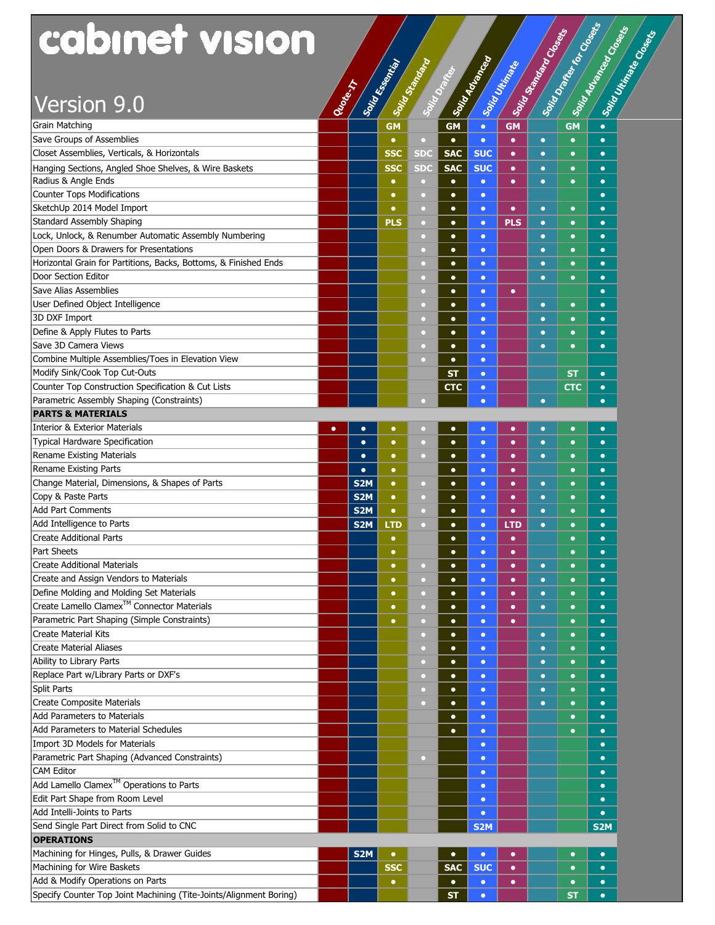| cabinet vision<br>Solid Drame, for Colorado<br>Soint Advanced Construction<br><b>Solid Skantage Closes</b><br>Solid drawing car<br>Solid Search of Christian Carpeter<br>Solid Vitalian<br>Rionest<br>Version 9.0<br><b>GM</b><br><b>GM</b><br><b>GM</b><br><b>GM</b><br>$\bullet$<br>$\bullet$<br>$\bullet$<br>$\bullet$<br>$\bullet$<br>$\circ$<br>$\bullet$<br>$\bullet$<br>$\bullet$<br>$\bullet$<br><b>SSC</b><br><b>SDC</b><br><b>SAC</b><br><b>SUC</b><br>$\bullet$<br>$\bullet$<br>$\bullet$<br>$\bullet$<br><b>SSC</b><br><b>SDC</b><br><b>SAC</b><br><b>SUC</b><br>$\bullet$<br>$\bullet$<br>$\bullet$<br>$\bullet$<br>Radius & Angle Ends<br>$\bullet$<br>$\bullet$<br>$\bullet$<br>$\bullet$<br>$\bullet$<br>$\bullet$<br>$\circ$<br>$\bullet$<br><b>Counter Tops Modifications</b><br>$\bullet$<br>$\bullet$<br>$\bullet$<br>$\Box$<br>$\bullet$<br>SketchUp 2014 Model Import<br>$\bullet$<br>$\bullet$<br>$\overline{\mathcal{C}}$<br>$\bullet$<br>$\bullet$<br>$\bullet$<br>$\bullet$<br>$\bullet$<br><b>Standard Assembly Shaping</b><br>PLS<br><b>PLS</b><br>$\bullet$<br>$\bullet$<br>$\bullet$<br>$\bullet$<br>$\bullet$<br>$\circ$<br>Lock, Unlock, & Renumber Automatic Assembly Numbering<br>$\bullet$<br>$\bullet$<br>$\bullet$<br>$\Box$<br>$\bullet$<br>$\bullet$<br>Open Doors & Drawers for Presentations<br>$\bullet$<br>$\bullet$<br>$\bullet$<br>$\bullet$<br>a<br>$\bullet$<br>Horizontal Grain for Partitions, Backs, Bottoms, & Finished Ends<br>$\bullet$<br>$\bullet$<br>$\bullet$<br>$\bullet$<br>$\bullet$<br>Door Section Editor<br>$\bullet$<br>$\bullet$<br>$\bullet$<br>$\bullet$<br>$\bullet$<br><b>Save Alias Assemblies</b><br>$\bullet$<br>$\bullet$<br>$\bullet$<br>n<br>$\bullet$<br>User Defined Object Intelligence<br>$\bullet$<br>$\bullet$<br>о<br>$\bullet$<br>$\bullet$<br>$\bullet$<br>3D DXF Import<br>$\bullet$<br>о<br>$\bullet$<br>$\bullet$<br>$\bullet$<br>$\bullet$<br>Define & Apply Flutes to Parts<br>$\bullet$<br>$\bullet$<br>$\bullet$<br>$\bullet$<br>о<br>$\bullet$<br>Save 3D Camera Views<br>$\bullet$<br>$\bullet$<br>$\bullet$<br>$\bullet$<br>$\bullet$<br>о<br>Combine Multiple Assemblies/Toes in Elevation View<br>$\bullet$<br>α<br>$\bullet$<br>Modify Sink/Cook Top Cut-Outs<br><b>ST</b><br><b>ST</b><br>$\bullet$<br>$\bullet$<br>Counter Top Construction Specification & Cut Lists<br><b>CTC</b><br>стс<br>$\bullet$<br>$\bullet$<br>Parametric Assembly Shaping (Constraints)<br>$\bullet$<br>$\bullet$<br>$\bullet$<br>n<br><b>PARTS &amp; MATERIALS</b><br>Interior & Exterior Materials<br>$\bullet$<br>$\bullet$<br>$\bullet$<br>$\bullet$<br>$\bullet$<br>$\bullet$<br>$\bullet$<br>$\Box$<br>$\bullet$<br>$\bullet$<br><b>Typical Hardware Specification</b><br>$\bullet$<br>$\hbox{\large \it o}$<br>$\bullet$<br>$\bullet$<br>$\bullet$<br>$\bullet$<br>$\bullet$<br>$\bullet$<br>$\bullet$<br>Rename Existing Materials<br>$\bullet$<br>$\bullet$<br>$\bullet$<br>$\bullet$<br>$\bullet$<br>$\bullet$<br>$\bullet$<br>$\bullet$<br>$\bullet$<br>$\bullet$<br>$\bullet$<br>$\bullet$<br>$\bullet$<br>$\bullet$<br>$\bullet$<br>$\bullet$<br>Change Material, Dimensions, & Shapes of Parts<br>S <sub>2</sub> M<br>$\bullet$<br>$\bullet$<br>$\bullet$<br>$\bullet$<br>$\Box$<br>$\bullet$<br>$\bullet$<br>$\bullet$<br>S <sub>2</sub> M<br>$\bullet$<br>$\Box$<br>$\bullet$<br>$\bullet$<br>$\bullet$<br>$\bullet$<br>$\bullet$<br>$\bullet$<br>S <sub>2</sub> M<br>$\bullet$<br>$\Box$<br>$\bullet$<br>$\bullet$<br>$\bullet$<br>$\bullet$<br>$\bullet$<br>$\bullet$<br>S <sub>2</sub> M<br><b>LTD</b><br>LTD<br>$\circ$<br>$\bullet$<br>$\bullet$<br>$\bullet$<br>$\bullet$<br>$\bullet$<br>$\bullet$<br>$\bullet$<br>$\bullet$<br>$\bullet$<br>$\bullet$<br>$\bullet$<br>$\bullet$<br>$\bullet$<br>$\bullet$<br>$\bullet$<br>$\bullet$<br>$\bullet$<br>$\bullet$<br>$\bullet$<br>$\bullet$<br>$\bullet$<br>$\bullet$<br>$\Box$<br>$\bullet$<br>$\bullet$<br>$\bullet$<br>$\bullet$<br>$\bullet$<br>$\bullet$<br>$\bullet$<br>$\Box$<br>$\bullet$<br>$\bullet$<br>Define Molding and Molding Set Materials<br>$\bullet$<br>$\bullet$<br>$\bullet$<br>$\bullet$<br>$\bullet$<br>$\bullet$<br>$\bullet$<br>о<br>Create Lamello Clamex <sup>™</sup> Connector Materials<br>$\bullet$<br>$\bullet$<br>$\bullet$<br>$\bullet$<br>$\bullet$<br>$\bullet$<br>о<br>$\bullet$<br>Parametric Part Shaping (Simple Constraints)<br>$\bullet$<br>$\bullet$<br>$\bullet$<br>$\bullet$<br>$\bullet$<br>о<br>$\bullet$<br>$\bullet$<br>$\bullet$<br>$\bullet$<br>а<br>$\bullet$<br>$\bullet$<br><b>Create Material Aliases</b><br>$\bullet$<br>$\bullet$<br>$\bullet$<br>а<br>$\bullet$<br>$\bullet$<br>Ability to Library Parts<br>$\bullet$<br>о<br>$\bullet$<br>$\bullet$<br>$\bullet$<br>$\bullet$<br>Replace Part w/Library Parts or DXF's<br>$\bullet$<br>$\Box$<br>$\bullet$<br>$\bullet$<br>$\bullet$<br>$\bullet$<br><b>Split Parts</b><br>$\bullet$<br>$\Box$<br>$\bullet$<br>$\bullet$<br>$\bullet$<br>$\bullet$<br>Create Composite Materials<br>$\bullet$<br>$\Box$<br>$\bullet$<br>$\bullet$<br>$\bullet$<br>$\bullet$<br>Add Parameters to Materials<br>$\bullet$<br>$\bullet$<br>$\bullet$<br>$\bullet$<br>Add Parameters to Material Schedules<br>$\bullet$<br>$\bullet$<br>$\bullet$<br>$\bullet$<br>Import 3D Models for Materials<br>$\bullet$<br>$\bullet$<br>Parametric Part Shaping (Advanced Constraints)<br>$\overline{\mathcal{C}}$<br>$\bullet$<br>$\bullet$<br><b>CAM Editor</b><br>$\bullet$<br>$\bullet$<br>Add Lamello Clamex <sup>™</sup> Operations to Parts<br>$\bullet$<br>$\bullet$<br>Edit Part Shape from Room Level<br>$\bullet$<br>$\bullet$<br>Add Intelli-Joints to Parts<br>$\bullet$<br>$\bullet$<br>Send Single Part Direct from Solid to CNC<br>S <sub>2</sub> M<br>S <sub>2</sub> M<br><b>OPERATIONS</b><br>Machining for Hinges, Pulls, & Drawer Guides<br>S <sub>2</sub> M<br>$\bullet$<br>$\bullet$<br>$\bullet$<br>$\bullet$<br>$\bullet$<br>$\bullet$<br>Machining for Wire Baskets<br><b>SSC</b><br><b>SAC</b><br><b>SUC</b><br>$\bullet$<br>$\bullet$<br>$\bullet$<br>Add & Modify Operations on Parts<br>$\bullet$<br>$\bullet$<br>$\bullet$<br>$\bullet$<br>$\bullet$<br>$\bullet$<br><b>ST</b><br>$\bullet$<br>$\bullet$ |                                                                    |  |  |           |  |  |  |
|---------------------------------------------------------------------------------------------------------------------------------------------------------------------------------------------------------------------------------------------------------------------------------------------------------------------------------------------------------------------------------------------------------------------------------------------------------------------------------------------------------------------------------------------------------------------------------------------------------------------------------------------------------------------------------------------------------------------------------------------------------------------------------------------------------------------------------------------------------------------------------------------------------------------------------------------------------------------------------------------------------------------------------------------------------------------------------------------------------------------------------------------------------------------------------------------------------------------------------------------------------------------------------------------------------------------------------------------------------------------------------------------------------------------------------------------------------------------------------------------------------------------------------------------------------------------------------------------------------------------------------------------------------------------------------------------------------------------------------------------------------------------------------------------------------------------------------------------------------------------------------------------------------------------------------------------------------------------------------------------------------------------------------------------------------------------------------------------------------------------------------------------------------------------------------------------------------------------------------------------------------------------------------------------------------------------------------------------------------------------------------------------------------------------------------------------------------------------------------------------------------------------------------------------------------------------------------------------------------------------------------------------------------------------------------------------------------------------------------------------------------------------------------------------------------------------------------------------------------------------------------------------------------------------------------------------------------------------------------------------------------------------------------------------------------------------------------------------------------------------------------------------------------------------------------------------------------------------------------------------------------------------------------------------------------------------------------------------------------------------------------------------------------------------------------------------------------------------------------------------------------------------------------------------------------------------------------------------------------------------------------------------------------------------------------------------------------------------------------------------------------------------------------------------------------------------------------------------------------------------------------------------------------------------------------------------------------------------------------------------------------------------------------------------------------------------------------------------------------------------------------------------------------------------------------------------------------------------------------------------------------------------------------------------------------------------------------------------------------------------------------------------------------------------------------------------------------------------------------------------------------------------------------------------------------------------------------------------------------------------------------------------------------------------------------------------------------------------------------------------------------------------------------------------------------------------------------------------------------------------------------------------------------------------------------------------------------------------------------------------------------------------------------------------------------------------------------------------------------------------------------------------------------------------------------------------------------------------------------------------------------------------------------------------------------------------------------------------------------------------------------------------------------------------------------------------------------------------------------------------------------------------------------------------------------------------------------------------------------------------------------------------------------------------------------------------------------------------------------------------------------------------------------------------------------------------------------------------------------------------------------------------------------------------------------------------------------------------------------------------------------------------------------------------------------------------------------------------------------------------------------------------------------------------------------------------------------------------------------------------------------------------|--------------------------------------------------------------------|--|--|-----------|--|--|--|
|                                                                                                                                                                                                                                                                                                                                                                                                                                                                                                                                                                                                                                                                                                                                                                                                                                                                                                                                                                                                                                                                                                                                                                                                                                                                                                                                                                                                                                                                                                                                                                                                                                                                                                                                                                                                                                                                                                                                                                                                                                                                                                                                                                                                                                                                                                                                                                                                                                                                                                                                                                                                                                                                                                                                                                                                                                                                                                                                                                                                                                                                                                                                                                                                                                                                                                                                                                                                                                                                                                                                                                                                                                                                                                                                                                                                                                                                                                                                                                                                                                                                                                                                                                                                                                                                                                                                                                                                                                                                                                                                                                                                                                                                                                                                                                                                                                                                                                                                                                                                                                                                                                                                                                                                                                                                                                                                                                                                                                                                                                                                                                                                                                                                                                                                                                                                                                                                                                                                                                                                                                                                                                                                                                                                                                                                     |                                                                    |  |  |           |  |  |  |
|                                                                                                                                                                                                                                                                                                                                                                                                                                                                                                                                                                                                                                                                                                                                                                                                                                                                                                                                                                                                                                                                                                                                                                                                                                                                                                                                                                                                                                                                                                                                                                                                                                                                                                                                                                                                                                                                                                                                                                                                                                                                                                                                                                                                                                                                                                                                                                                                                                                                                                                                                                                                                                                                                                                                                                                                                                                                                                                                                                                                                                                                                                                                                                                                                                                                                                                                                                                                                                                                                                                                                                                                                                                                                                                                                                                                                                                                                                                                                                                                                                                                                                                                                                                                                                                                                                                                                                                                                                                                                                                                                                                                                                                                                                                                                                                                                                                                                                                                                                                                                                                                                                                                                                                                                                                                                                                                                                                                                                                                                                                                                                                                                                                                                                                                                                                                                                                                                                                                                                                                                                                                                                                                                                                                                                                                     |                                                                    |  |  |           |  |  |  |
|                                                                                                                                                                                                                                                                                                                                                                                                                                                                                                                                                                                                                                                                                                                                                                                                                                                                                                                                                                                                                                                                                                                                                                                                                                                                                                                                                                                                                                                                                                                                                                                                                                                                                                                                                                                                                                                                                                                                                                                                                                                                                                                                                                                                                                                                                                                                                                                                                                                                                                                                                                                                                                                                                                                                                                                                                                                                                                                                                                                                                                                                                                                                                                                                                                                                                                                                                                                                                                                                                                                                                                                                                                                                                                                                                                                                                                                                                                                                                                                                                                                                                                                                                                                                                                                                                                                                                                                                                                                                                                                                                                                                                                                                                                                                                                                                                                                                                                                                                                                                                                                                                                                                                                                                                                                                                                                                                                                                                                                                                                                                                                                                                                                                                                                                                                                                                                                                                                                                                                                                                                                                                                                                                                                                                                                                     |                                                                    |  |  |           |  |  |  |
|                                                                                                                                                                                                                                                                                                                                                                                                                                                                                                                                                                                                                                                                                                                                                                                                                                                                                                                                                                                                                                                                                                                                                                                                                                                                                                                                                                                                                                                                                                                                                                                                                                                                                                                                                                                                                                                                                                                                                                                                                                                                                                                                                                                                                                                                                                                                                                                                                                                                                                                                                                                                                                                                                                                                                                                                                                                                                                                                                                                                                                                                                                                                                                                                                                                                                                                                                                                                                                                                                                                                                                                                                                                                                                                                                                                                                                                                                                                                                                                                                                                                                                                                                                                                                                                                                                                                                                                                                                                                                                                                                                                                                                                                                                                                                                                                                                                                                                                                                                                                                                                                                                                                                                                                                                                                                                                                                                                                                                                                                                                                                                                                                                                                                                                                                                                                                                                                                                                                                                                                                                                                                                                                                                                                                                                                     |                                                                    |  |  |           |  |  |  |
|                                                                                                                                                                                                                                                                                                                                                                                                                                                                                                                                                                                                                                                                                                                                                                                                                                                                                                                                                                                                                                                                                                                                                                                                                                                                                                                                                                                                                                                                                                                                                                                                                                                                                                                                                                                                                                                                                                                                                                                                                                                                                                                                                                                                                                                                                                                                                                                                                                                                                                                                                                                                                                                                                                                                                                                                                                                                                                                                                                                                                                                                                                                                                                                                                                                                                                                                                                                                                                                                                                                                                                                                                                                                                                                                                                                                                                                                                                                                                                                                                                                                                                                                                                                                                                                                                                                                                                                                                                                                                                                                                                                                                                                                                                                                                                                                                                                                                                                                                                                                                                                                                                                                                                                                                                                                                                                                                                                                                                                                                                                                                                                                                                                                                                                                                                                                                                                                                                                                                                                                                                                                                                                                                                                                                                                                     |                                                                    |  |  |           |  |  |  |
|                                                                                                                                                                                                                                                                                                                                                                                                                                                                                                                                                                                                                                                                                                                                                                                                                                                                                                                                                                                                                                                                                                                                                                                                                                                                                                                                                                                                                                                                                                                                                                                                                                                                                                                                                                                                                                                                                                                                                                                                                                                                                                                                                                                                                                                                                                                                                                                                                                                                                                                                                                                                                                                                                                                                                                                                                                                                                                                                                                                                                                                                                                                                                                                                                                                                                                                                                                                                                                                                                                                                                                                                                                                                                                                                                                                                                                                                                                                                                                                                                                                                                                                                                                                                                                                                                                                                                                                                                                                                                                                                                                                                                                                                                                                                                                                                                                                                                                                                                                                                                                                                                                                                                                                                                                                                                                                                                                                                                                                                                                                                                                                                                                                                                                                                                                                                                                                                                                                                                                                                                                                                                                                                                                                                                                                                     | Grain Matching                                                     |  |  |           |  |  |  |
|                                                                                                                                                                                                                                                                                                                                                                                                                                                                                                                                                                                                                                                                                                                                                                                                                                                                                                                                                                                                                                                                                                                                                                                                                                                                                                                                                                                                                                                                                                                                                                                                                                                                                                                                                                                                                                                                                                                                                                                                                                                                                                                                                                                                                                                                                                                                                                                                                                                                                                                                                                                                                                                                                                                                                                                                                                                                                                                                                                                                                                                                                                                                                                                                                                                                                                                                                                                                                                                                                                                                                                                                                                                                                                                                                                                                                                                                                                                                                                                                                                                                                                                                                                                                                                                                                                                                                                                                                                                                                                                                                                                                                                                                                                                                                                                                                                                                                                                                                                                                                                                                                                                                                                                                                                                                                                                                                                                                                                                                                                                                                                                                                                                                                                                                                                                                                                                                                                                                                                                                                                                                                                                                                                                                                                                                     | Save Groups of Assemblies                                          |  |  |           |  |  |  |
|                                                                                                                                                                                                                                                                                                                                                                                                                                                                                                                                                                                                                                                                                                                                                                                                                                                                                                                                                                                                                                                                                                                                                                                                                                                                                                                                                                                                                                                                                                                                                                                                                                                                                                                                                                                                                                                                                                                                                                                                                                                                                                                                                                                                                                                                                                                                                                                                                                                                                                                                                                                                                                                                                                                                                                                                                                                                                                                                                                                                                                                                                                                                                                                                                                                                                                                                                                                                                                                                                                                                                                                                                                                                                                                                                                                                                                                                                                                                                                                                                                                                                                                                                                                                                                                                                                                                                                                                                                                                                                                                                                                                                                                                                                                                                                                                                                                                                                                                                                                                                                                                                                                                                                                                                                                                                                                                                                                                                                                                                                                                                                                                                                                                                                                                                                                                                                                                                                                                                                                                                                                                                                                                                                                                                                                                     | Closet Assemblies, Verticals, & Horizontals                        |  |  |           |  |  |  |
|                                                                                                                                                                                                                                                                                                                                                                                                                                                                                                                                                                                                                                                                                                                                                                                                                                                                                                                                                                                                                                                                                                                                                                                                                                                                                                                                                                                                                                                                                                                                                                                                                                                                                                                                                                                                                                                                                                                                                                                                                                                                                                                                                                                                                                                                                                                                                                                                                                                                                                                                                                                                                                                                                                                                                                                                                                                                                                                                                                                                                                                                                                                                                                                                                                                                                                                                                                                                                                                                                                                                                                                                                                                                                                                                                                                                                                                                                                                                                                                                                                                                                                                                                                                                                                                                                                                                                                                                                                                                                                                                                                                                                                                                                                                                                                                                                                                                                                                                                                                                                                                                                                                                                                                                                                                                                                                                                                                                                                                                                                                                                                                                                                                                                                                                                                                                                                                                                                                                                                                                                                                                                                                                                                                                                                                                     | Hanging Sections, Angled Shoe Shelves, & Wire Baskets              |  |  |           |  |  |  |
|                                                                                                                                                                                                                                                                                                                                                                                                                                                                                                                                                                                                                                                                                                                                                                                                                                                                                                                                                                                                                                                                                                                                                                                                                                                                                                                                                                                                                                                                                                                                                                                                                                                                                                                                                                                                                                                                                                                                                                                                                                                                                                                                                                                                                                                                                                                                                                                                                                                                                                                                                                                                                                                                                                                                                                                                                                                                                                                                                                                                                                                                                                                                                                                                                                                                                                                                                                                                                                                                                                                                                                                                                                                                                                                                                                                                                                                                                                                                                                                                                                                                                                                                                                                                                                                                                                                                                                                                                                                                                                                                                                                                                                                                                                                                                                                                                                                                                                                                                                                                                                                                                                                                                                                                                                                                                                                                                                                                                                                                                                                                                                                                                                                                                                                                                                                                                                                                                                                                                                                                                                                                                                                                                                                                                                                                     |                                                                    |  |  |           |  |  |  |
|                                                                                                                                                                                                                                                                                                                                                                                                                                                                                                                                                                                                                                                                                                                                                                                                                                                                                                                                                                                                                                                                                                                                                                                                                                                                                                                                                                                                                                                                                                                                                                                                                                                                                                                                                                                                                                                                                                                                                                                                                                                                                                                                                                                                                                                                                                                                                                                                                                                                                                                                                                                                                                                                                                                                                                                                                                                                                                                                                                                                                                                                                                                                                                                                                                                                                                                                                                                                                                                                                                                                                                                                                                                                                                                                                                                                                                                                                                                                                                                                                                                                                                                                                                                                                                                                                                                                                                                                                                                                                                                                                                                                                                                                                                                                                                                                                                                                                                                                                                                                                                                                                                                                                                                                                                                                                                                                                                                                                                                                                                                                                                                                                                                                                                                                                                                                                                                                                                                                                                                                                                                                                                                                                                                                                                                                     |                                                                    |  |  |           |  |  |  |
|                                                                                                                                                                                                                                                                                                                                                                                                                                                                                                                                                                                                                                                                                                                                                                                                                                                                                                                                                                                                                                                                                                                                                                                                                                                                                                                                                                                                                                                                                                                                                                                                                                                                                                                                                                                                                                                                                                                                                                                                                                                                                                                                                                                                                                                                                                                                                                                                                                                                                                                                                                                                                                                                                                                                                                                                                                                                                                                                                                                                                                                                                                                                                                                                                                                                                                                                                                                                                                                                                                                                                                                                                                                                                                                                                                                                                                                                                                                                                                                                                                                                                                                                                                                                                                                                                                                                                                                                                                                                                                                                                                                                                                                                                                                                                                                                                                                                                                                                                                                                                                                                                                                                                                                                                                                                                                                                                                                                                                                                                                                                                                                                                                                                                                                                                                                                                                                                                                                                                                                                                                                                                                                                                                                                                                                                     |                                                                    |  |  |           |  |  |  |
|                                                                                                                                                                                                                                                                                                                                                                                                                                                                                                                                                                                                                                                                                                                                                                                                                                                                                                                                                                                                                                                                                                                                                                                                                                                                                                                                                                                                                                                                                                                                                                                                                                                                                                                                                                                                                                                                                                                                                                                                                                                                                                                                                                                                                                                                                                                                                                                                                                                                                                                                                                                                                                                                                                                                                                                                                                                                                                                                                                                                                                                                                                                                                                                                                                                                                                                                                                                                                                                                                                                                                                                                                                                                                                                                                                                                                                                                                                                                                                                                                                                                                                                                                                                                                                                                                                                                                                                                                                                                                                                                                                                                                                                                                                                                                                                                                                                                                                                                                                                                                                                                                                                                                                                                                                                                                                                                                                                                                                                                                                                                                                                                                                                                                                                                                                                                                                                                                                                                                                                                                                                                                                                                                                                                                                                                     |                                                                    |  |  |           |  |  |  |
|                                                                                                                                                                                                                                                                                                                                                                                                                                                                                                                                                                                                                                                                                                                                                                                                                                                                                                                                                                                                                                                                                                                                                                                                                                                                                                                                                                                                                                                                                                                                                                                                                                                                                                                                                                                                                                                                                                                                                                                                                                                                                                                                                                                                                                                                                                                                                                                                                                                                                                                                                                                                                                                                                                                                                                                                                                                                                                                                                                                                                                                                                                                                                                                                                                                                                                                                                                                                                                                                                                                                                                                                                                                                                                                                                                                                                                                                                                                                                                                                                                                                                                                                                                                                                                                                                                                                                                                                                                                                                                                                                                                                                                                                                                                                                                                                                                                                                                                                                                                                                                                                                                                                                                                                                                                                                                                                                                                                                                                                                                                                                                                                                                                                                                                                                                                                                                                                                                                                                                                                                                                                                                                                                                                                                                                                     |                                                                    |  |  |           |  |  |  |
|                                                                                                                                                                                                                                                                                                                                                                                                                                                                                                                                                                                                                                                                                                                                                                                                                                                                                                                                                                                                                                                                                                                                                                                                                                                                                                                                                                                                                                                                                                                                                                                                                                                                                                                                                                                                                                                                                                                                                                                                                                                                                                                                                                                                                                                                                                                                                                                                                                                                                                                                                                                                                                                                                                                                                                                                                                                                                                                                                                                                                                                                                                                                                                                                                                                                                                                                                                                                                                                                                                                                                                                                                                                                                                                                                                                                                                                                                                                                                                                                                                                                                                                                                                                                                                                                                                                                                                                                                                                                                                                                                                                                                                                                                                                                                                                                                                                                                                                                                                                                                                                                                                                                                                                                                                                                                                                                                                                                                                                                                                                                                                                                                                                                                                                                                                                                                                                                                                                                                                                                                                                                                                                                                                                                                                                                     |                                                                    |  |  |           |  |  |  |
|                                                                                                                                                                                                                                                                                                                                                                                                                                                                                                                                                                                                                                                                                                                                                                                                                                                                                                                                                                                                                                                                                                                                                                                                                                                                                                                                                                                                                                                                                                                                                                                                                                                                                                                                                                                                                                                                                                                                                                                                                                                                                                                                                                                                                                                                                                                                                                                                                                                                                                                                                                                                                                                                                                                                                                                                                                                                                                                                                                                                                                                                                                                                                                                                                                                                                                                                                                                                                                                                                                                                                                                                                                                                                                                                                                                                                                                                                                                                                                                                                                                                                                                                                                                                                                                                                                                                                                                                                                                                                                                                                                                                                                                                                                                                                                                                                                                                                                                                                                                                                                                                                                                                                                                                                                                                                                                                                                                                                                                                                                                                                                                                                                                                                                                                                                                                                                                                                                                                                                                                                                                                                                                                                                                                                                                                     |                                                                    |  |  |           |  |  |  |
|                                                                                                                                                                                                                                                                                                                                                                                                                                                                                                                                                                                                                                                                                                                                                                                                                                                                                                                                                                                                                                                                                                                                                                                                                                                                                                                                                                                                                                                                                                                                                                                                                                                                                                                                                                                                                                                                                                                                                                                                                                                                                                                                                                                                                                                                                                                                                                                                                                                                                                                                                                                                                                                                                                                                                                                                                                                                                                                                                                                                                                                                                                                                                                                                                                                                                                                                                                                                                                                                                                                                                                                                                                                                                                                                                                                                                                                                                                                                                                                                                                                                                                                                                                                                                                                                                                                                                                                                                                                                                                                                                                                                                                                                                                                                                                                                                                                                                                                                                                                                                                                                                                                                                                                                                                                                                                                                                                                                                                                                                                                                                                                                                                                                                                                                                                                                                                                                                                                                                                                                                                                                                                                                                                                                                                                                     |                                                                    |  |  |           |  |  |  |
|                                                                                                                                                                                                                                                                                                                                                                                                                                                                                                                                                                                                                                                                                                                                                                                                                                                                                                                                                                                                                                                                                                                                                                                                                                                                                                                                                                                                                                                                                                                                                                                                                                                                                                                                                                                                                                                                                                                                                                                                                                                                                                                                                                                                                                                                                                                                                                                                                                                                                                                                                                                                                                                                                                                                                                                                                                                                                                                                                                                                                                                                                                                                                                                                                                                                                                                                                                                                                                                                                                                                                                                                                                                                                                                                                                                                                                                                                                                                                                                                                                                                                                                                                                                                                                                                                                                                                                                                                                                                                                                                                                                                                                                                                                                                                                                                                                                                                                                                                                                                                                                                                                                                                                                                                                                                                                                                                                                                                                                                                                                                                                                                                                                                                                                                                                                                                                                                                                                                                                                                                                                                                                                                                                                                                                                                     |                                                                    |  |  |           |  |  |  |
|                                                                                                                                                                                                                                                                                                                                                                                                                                                                                                                                                                                                                                                                                                                                                                                                                                                                                                                                                                                                                                                                                                                                                                                                                                                                                                                                                                                                                                                                                                                                                                                                                                                                                                                                                                                                                                                                                                                                                                                                                                                                                                                                                                                                                                                                                                                                                                                                                                                                                                                                                                                                                                                                                                                                                                                                                                                                                                                                                                                                                                                                                                                                                                                                                                                                                                                                                                                                                                                                                                                                                                                                                                                                                                                                                                                                                                                                                                                                                                                                                                                                                                                                                                                                                                                                                                                                                                                                                                                                                                                                                                                                                                                                                                                                                                                                                                                                                                                                                                                                                                                                                                                                                                                                                                                                                                                                                                                                                                                                                                                                                                                                                                                                                                                                                                                                                                                                                                                                                                                                                                                                                                                                                                                                                                                                     |                                                                    |  |  |           |  |  |  |
|                                                                                                                                                                                                                                                                                                                                                                                                                                                                                                                                                                                                                                                                                                                                                                                                                                                                                                                                                                                                                                                                                                                                                                                                                                                                                                                                                                                                                                                                                                                                                                                                                                                                                                                                                                                                                                                                                                                                                                                                                                                                                                                                                                                                                                                                                                                                                                                                                                                                                                                                                                                                                                                                                                                                                                                                                                                                                                                                                                                                                                                                                                                                                                                                                                                                                                                                                                                                                                                                                                                                                                                                                                                                                                                                                                                                                                                                                                                                                                                                                                                                                                                                                                                                                                                                                                                                                                                                                                                                                                                                                                                                                                                                                                                                                                                                                                                                                                                                                                                                                                                                                                                                                                                                                                                                                                                                                                                                                                                                                                                                                                                                                                                                                                                                                                                                                                                                                                                                                                                                                                                                                                                                                                                                                                                                     |                                                                    |  |  |           |  |  |  |
|                                                                                                                                                                                                                                                                                                                                                                                                                                                                                                                                                                                                                                                                                                                                                                                                                                                                                                                                                                                                                                                                                                                                                                                                                                                                                                                                                                                                                                                                                                                                                                                                                                                                                                                                                                                                                                                                                                                                                                                                                                                                                                                                                                                                                                                                                                                                                                                                                                                                                                                                                                                                                                                                                                                                                                                                                                                                                                                                                                                                                                                                                                                                                                                                                                                                                                                                                                                                                                                                                                                                                                                                                                                                                                                                                                                                                                                                                                                                                                                                                                                                                                                                                                                                                                                                                                                                                                                                                                                                                                                                                                                                                                                                                                                                                                                                                                                                                                                                                                                                                                                                                                                                                                                                                                                                                                                                                                                                                                                                                                                                                                                                                                                                                                                                                                                                                                                                                                                                                                                                                                                                                                                                                                                                                                                                     |                                                                    |  |  |           |  |  |  |
|                                                                                                                                                                                                                                                                                                                                                                                                                                                                                                                                                                                                                                                                                                                                                                                                                                                                                                                                                                                                                                                                                                                                                                                                                                                                                                                                                                                                                                                                                                                                                                                                                                                                                                                                                                                                                                                                                                                                                                                                                                                                                                                                                                                                                                                                                                                                                                                                                                                                                                                                                                                                                                                                                                                                                                                                                                                                                                                                                                                                                                                                                                                                                                                                                                                                                                                                                                                                                                                                                                                                                                                                                                                                                                                                                                                                                                                                                                                                                                                                                                                                                                                                                                                                                                                                                                                                                                                                                                                                                                                                                                                                                                                                                                                                                                                                                                                                                                                                                                                                                                                                                                                                                                                                                                                                                                                                                                                                                                                                                                                                                                                                                                                                                                                                                                                                                                                                                                                                                                                                                                                                                                                                                                                                                                                                     |                                                                    |  |  |           |  |  |  |
|                                                                                                                                                                                                                                                                                                                                                                                                                                                                                                                                                                                                                                                                                                                                                                                                                                                                                                                                                                                                                                                                                                                                                                                                                                                                                                                                                                                                                                                                                                                                                                                                                                                                                                                                                                                                                                                                                                                                                                                                                                                                                                                                                                                                                                                                                                                                                                                                                                                                                                                                                                                                                                                                                                                                                                                                                                                                                                                                                                                                                                                                                                                                                                                                                                                                                                                                                                                                                                                                                                                                                                                                                                                                                                                                                                                                                                                                                                                                                                                                                                                                                                                                                                                                                                                                                                                                                                                                                                                                                                                                                                                                                                                                                                                                                                                                                                                                                                                                                                                                                                                                                                                                                                                                                                                                                                                                                                                                                                                                                                                                                                                                                                                                                                                                                                                                                                                                                                                                                                                                                                                                                                                                                                                                                                                                     |                                                                    |  |  |           |  |  |  |
|                                                                                                                                                                                                                                                                                                                                                                                                                                                                                                                                                                                                                                                                                                                                                                                                                                                                                                                                                                                                                                                                                                                                                                                                                                                                                                                                                                                                                                                                                                                                                                                                                                                                                                                                                                                                                                                                                                                                                                                                                                                                                                                                                                                                                                                                                                                                                                                                                                                                                                                                                                                                                                                                                                                                                                                                                                                                                                                                                                                                                                                                                                                                                                                                                                                                                                                                                                                                                                                                                                                                                                                                                                                                                                                                                                                                                                                                                                                                                                                                                                                                                                                                                                                                                                                                                                                                                                                                                                                                                                                                                                                                                                                                                                                                                                                                                                                                                                                                                                                                                                                                                                                                                                                                                                                                                                                                                                                                                                                                                                                                                                                                                                                                                                                                                                                                                                                                                                                                                                                                                                                                                                                                                                                                                                                                     |                                                                    |  |  |           |  |  |  |
|                                                                                                                                                                                                                                                                                                                                                                                                                                                                                                                                                                                                                                                                                                                                                                                                                                                                                                                                                                                                                                                                                                                                                                                                                                                                                                                                                                                                                                                                                                                                                                                                                                                                                                                                                                                                                                                                                                                                                                                                                                                                                                                                                                                                                                                                                                                                                                                                                                                                                                                                                                                                                                                                                                                                                                                                                                                                                                                                                                                                                                                                                                                                                                                                                                                                                                                                                                                                                                                                                                                                                                                                                                                                                                                                                                                                                                                                                                                                                                                                                                                                                                                                                                                                                                                                                                                                                                                                                                                                                                                                                                                                                                                                                                                                                                                                                                                                                                                                                                                                                                                                                                                                                                                                                                                                                                                                                                                                                                                                                                                                                                                                                                                                                                                                                                                                                                                                                                                                                                                                                                                                                                                                                                                                                                                                     |                                                                    |  |  |           |  |  |  |
|                                                                                                                                                                                                                                                                                                                                                                                                                                                                                                                                                                                                                                                                                                                                                                                                                                                                                                                                                                                                                                                                                                                                                                                                                                                                                                                                                                                                                                                                                                                                                                                                                                                                                                                                                                                                                                                                                                                                                                                                                                                                                                                                                                                                                                                                                                                                                                                                                                                                                                                                                                                                                                                                                                                                                                                                                                                                                                                                                                                                                                                                                                                                                                                                                                                                                                                                                                                                                                                                                                                                                                                                                                                                                                                                                                                                                                                                                                                                                                                                                                                                                                                                                                                                                                                                                                                                                                                                                                                                                                                                                                                                                                                                                                                                                                                                                                                                                                                                                                                                                                                                                                                                                                                                                                                                                                                                                                                                                                                                                                                                                                                                                                                                                                                                                                                                                                                                                                                                                                                                                                                                                                                                                                                                                                                                     |                                                                    |  |  |           |  |  |  |
|                                                                                                                                                                                                                                                                                                                                                                                                                                                                                                                                                                                                                                                                                                                                                                                                                                                                                                                                                                                                                                                                                                                                                                                                                                                                                                                                                                                                                                                                                                                                                                                                                                                                                                                                                                                                                                                                                                                                                                                                                                                                                                                                                                                                                                                                                                                                                                                                                                                                                                                                                                                                                                                                                                                                                                                                                                                                                                                                                                                                                                                                                                                                                                                                                                                                                                                                                                                                                                                                                                                                                                                                                                                                                                                                                                                                                                                                                                                                                                                                                                                                                                                                                                                                                                                                                                                                                                                                                                                                                                                                                                                                                                                                                                                                                                                                                                                                                                                                                                                                                                                                                                                                                                                                                                                                                                                                                                                                                                                                                                                                                                                                                                                                                                                                                                                                                                                                                                                                                                                                                                                                                                                                                                                                                                                                     |                                                                    |  |  |           |  |  |  |
|                                                                                                                                                                                                                                                                                                                                                                                                                                                                                                                                                                                                                                                                                                                                                                                                                                                                                                                                                                                                                                                                                                                                                                                                                                                                                                                                                                                                                                                                                                                                                                                                                                                                                                                                                                                                                                                                                                                                                                                                                                                                                                                                                                                                                                                                                                                                                                                                                                                                                                                                                                                                                                                                                                                                                                                                                                                                                                                                                                                                                                                                                                                                                                                                                                                                                                                                                                                                                                                                                                                                                                                                                                                                                                                                                                                                                                                                                                                                                                                                                                                                                                                                                                                                                                                                                                                                                                                                                                                                                                                                                                                                                                                                                                                                                                                                                                                                                                                                                                                                                                                                                                                                                                                                                                                                                                                                                                                                                                                                                                                                                                                                                                                                                                                                                                                                                                                                                                                                                                                                                                                                                                                                                                                                                                                                     |                                                                    |  |  |           |  |  |  |
|                                                                                                                                                                                                                                                                                                                                                                                                                                                                                                                                                                                                                                                                                                                                                                                                                                                                                                                                                                                                                                                                                                                                                                                                                                                                                                                                                                                                                                                                                                                                                                                                                                                                                                                                                                                                                                                                                                                                                                                                                                                                                                                                                                                                                                                                                                                                                                                                                                                                                                                                                                                                                                                                                                                                                                                                                                                                                                                                                                                                                                                                                                                                                                                                                                                                                                                                                                                                                                                                                                                                                                                                                                                                                                                                                                                                                                                                                                                                                                                                                                                                                                                                                                                                                                                                                                                                                                                                                                                                                                                                                                                                                                                                                                                                                                                                                                                                                                                                                                                                                                                                                                                                                                                                                                                                                                                                                                                                                                                                                                                                                                                                                                                                                                                                                                                                                                                                                                                                                                                                                                                                                                                                                                                                                                                                     |                                                                    |  |  |           |  |  |  |
|                                                                                                                                                                                                                                                                                                                                                                                                                                                                                                                                                                                                                                                                                                                                                                                                                                                                                                                                                                                                                                                                                                                                                                                                                                                                                                                                                                                                                                                                                                                                                                                                                                                                                                                                                                                                                                                                                                                                                                                                                                                                                                                                                                                                                                                                                                                                                                                                                                                                                                                                                                                                                                                                                                                                                                                                                                                                                                                                                                                                                                                                                                                                                                                                                                                                                                                                                                                                                                                                                                                                                                                                                                                                                                                                                                                                                                                                                                                                                                                                                                                                                                                                                                                                                                                                                                                                                                                                                                                                                                                                                                                                                                                                                                                                                                                                                                                                                                                                                                                                                                                                                                                                                                                                                                                                                                                                                                                                                                                                                                                                                                                                                                                                                                                                                                                                                                                                                                                                                                                                                                                                                                                                                                                                                                                                     | Rename Existing Parts                                              |  |  |           |  |  |  |
|                                                                                                                                                                                                                                                                                                                                                                                                                                                                                                                                                                                                                                                                                                                                                                                                                                                                                                                                                                                                                                                                                                                                                                                                                                                                                                                                                                                                                                                                                                                                                                                                                                                                                                                                                                                                                                                                                                                                                                                                                                                                                                                                                                                                                                                                                                                                                                                                                                                                                                                                                                                                                                                                                                                                                                                                                                                                                                                                                                                                                                                                                                                                                                                                                                                                                                                                                                                                                                                                                                                                                                                                                                                                                                                                                                                                                                                                                                                                                                                                                                                                                                                                                                                                                                                                                                                                                                                                                                                                                                                                                                                                                                                                                                                                                                                                                                                                                                                                                                                                                                                                                                                                                                                                                                                                                                                                                                                                                                                                                                                                                                                                                                                                                                                                                                                                                                                                                                                                                                                                                                                                                                                                                                                                                                                                     |                                                                    |  |  |           |  |  |  |
|                                                                                                                                                                                                                                                                                                                                                                                                                                                                                                                                                                                                                                                                                                                                                                                                                                                                                                                                                                                                                                                                                                                                                                                                                                                                                                                                                                                                                                                                                                                                                                                                                                                                                                                                                                                                                                                                                                                                                                                                                                                                                                                                                                                                                                                                                                                                                                                                                                                                                                                                                                                                                                                                                                                                                                                                                                                                                                                                                                                                                                                                                                                                                                                                                                                                                                                                                                                                                                                                                                                                                                                                                                                                                                                                                                                                                                                                                                                                                                                                                                                                                                                                                                                                                                                                                                                                                                                                                                                                                                                                                                                                                                                                                                                                                                                                                                                                                                                                                                                                                                                                                                                                                                                                                                                                                                                                                                                                                                                                                                                                                                                                                                                                                                                                                                                                                                                                                                                                                                                                                                                                                                                                                                                                                                                                     | Copy & Paste Parts                                                 |  |  |           |  |  |  |
|                                                                                                                                                                                                                                                                                                                                                                                                                                                                                                                                                                                                                                                                                                                                                                                                                                                                                                                                                                                                                                                                                                                                                                                                                                                                                                                                                                                                                                                                                                                                                                                                                                                                                                                                                                                                                                                                                                                                                                                                                                                                                                                                                                                                                                                                                                                                                                                                                                                                                                                                                                                                                                                                                                                                                                                                                                                                                                                                                                                                                                                                                                                                                                                                                                                                                                                                                                                                                                                                                                                                                                                                                                                                                                                                                                                                                                                                                                                                                                                                                                                                                                                                                                                                                                                                                                                                                                                                                                                                                                                                                                                                                                                                                                                                                                                                                                                                                                                                                                                                                                                                                                                                                                                                                                                                                                                                                                                                                                                                                                                                                                                                                                                                                                                                                                                                                                                                                                                                                                                                                                                                                                                                                                                                                                                                     | <b>Add Part Comments</b>                                           |  |  |           |  |  |  |
|                                                                                                                                                                                                                                                                                                                                                                                                                                                                                                                                                                                                                                                                                                                                                                                                                                                                                                                                                                                                                                                                                                                                                                                                                                                                                                                                                                                                                                                                                                                                                                                                                                                                                                                                                                                                                                                                                                                                                                                                                                                                                                                                                                                                                                                                                                                                                                                                                                                                                                                                                                                                                                                                                                                                                                                                                                                                                                                                                                                                                                                                                                                                                                                                                                                                                                                                                                                                                                                                                                                                                                                                                                                                                                                                                                                                                                                                                                                                                                                                                                                                                                                                                                                                                                                                                                                                                                                                                                                                                                                                                                                                                                                                                                                                                                                                                                                                                                                                                                                                                                                                                                                                                                                                                                                                                                                                                                                                                                                                                                                                                                                                                                                                                                                                                                                                                                                                                                                                                                                                                                                                                                                                                                                                                                                                     | Add Intelligence to Parts                                          |  |  |           |  |  |  |
|                                                                                                                                                                                                                                                                                                                                                                                                                                                                                                                                                                                                                                                                                                                                                                                                                                                                                                                                                                                                                                                                                                                                                                                                                                                                                                                                                                                                                                                                                                                                                                                                                                                                                                                                                                                                                                                                                                                                                                                                                                                                                                                                                                                                                                                                                                                                                                                                                                                                                                                                                                                                                                                                                                                                                                                                                                                                                                                                                                                                                                                                                                                                                                                                                                                                                                                                                                                                                                                                                                                                                                                                                                                                                                                                                                                                                                                                                                                                                                                                                                                                                                                                                                                                                                                                                                                                                                                                                                                                                                                                                                                                                                                                                                                                                                                                                                                                                                                                                                                                                                                                                                                                                                                                                                                                                                                                                                                                                                                                                                                                                                                                                                                                                                                                                                                                                                                                                                                                                                                                                                                                                                                                                                                                                                                                     | Create Additional Parts                                            |  |  |           |  |  |  |
|                                                                                                                                                                                                                                                                                                                                                                                                                                                                                                                                                                                                                                                                                                                                                                                                                                                                                                                                                                                                                                                                                                                                                                                                                                                                                                                                                                                                                                                                                                                                                                                                                                                                                                                                                                                                                                                                                                                                                                                                                                                                                                                                                                                                                                                                                                                                                                                                                                                                                                                                                                                                                                                                                                                                                                                                                                                                                                                                                                                                                                                                                                                                                                                                                                                                                                                                                                                                                                                                                                                                                                                                                                                                                                                                                                                                                                                                                                                                                                                                                                                                                                                                                                                                                                                                                                                                                                                                                                                                                                                                                                                                                                                                                                                                                                                                                                                                                                                                                                                                                                                                                                                                                                                                                                                                                                                                                                                                                                                                                                                                                                                                                                                                                                                                                                                                                                                                                                                                                                                                                                                                                                                                                                                                                                                                     | Part Sheets                                                        |  |  |           |  |  |  |
|                                                                                                                                                                                                                                                                                                                                                                                                                                                                                                                                                                                                                                                                                                                                                                                                                                                                                                                                                                                                                                                                                                                                                                                                                                                                                                                                                                                                                                                                                                                                                                                                                                                                                                                                                                                                                                                                                                                                                                                                                                                                                                                                                                                                                                                                                                                                                                                                                                                                                                                                                                                                                                                                                                                                                                                                                                                                                                                                                                                                                                                                                                                                                                                                                                                                                                                                                                                                                                                                                                                                                                                                                                                                                                                                                                                                                                                                                                                                                                                                                                                                                                                                                                                                                                                                                                                                                                                                                                                                                                                                                                                                                                                                                                                                                                                                                                                                                                                                                                                                                                                                                                                                                                                                                                                                                                                                                                                                                                                                                                                                                                                                                                                                                                                                                                                                                                                                                                                                                                                                                                                                                                                                                                                                                                                                     | Create Additional Materials                                        |  |  |           |  |  |  |
|                                                                                                                                                                                                                                                                                                                                                                                                                                                                                                                                                                                                                                                                                                                                                                                                                                                                                                                                                                                                                                                                                                                                                                                                                                                                                                                                                                                                                                                                                                                                                                                                                                                                                                                                                                                                                                                                                                                                                                                                                                                                                                                                                                                                                                                                                                                                                                                                                                                                                                                                                                                                                                                                                                                                                                                                                                                                                                                                                                                                                                                                                                                                                                                                                                                                                                                                                                                                                                                                                                                                                                                                                                                                                                                                                                                                                                                                                                                                                                                                                                                                                                                                                                                                                                                                                                                                                                                                                                                                                                                                                                                                                                                                                                                                                                                                                                                                                                                                                                                                                                                                                                                                                                                                                                                                                                                                                                                                                                                                                                                                                                                                                                                                                                                                                                                                                                                                                                                                                                                                                                                                                                                                                                                                                                                                     | Create and Assign Vendors to Materials                             |  |  |           |  |  |  |
|                                                                                                                                                                                                                                                                                                                                                                                                                                                                                                                                                                                                                                                                                                                                                                                                                                                                                                                                                                                                                                                                                                                                                                                                                                                                                                                                                                                                                                                                                                                                                                                                                                                                                                                                                                                                                                                                                                                                                                                                                                                                                                                                                                                                                                                                                                                                                                                                                                                                                                                                                                                                                                                                                                                                                                                                                                                                                                                                                                                                                                                                                                                                                                                                                                                                                                                                                                                                                                                                                                                                                                                                                                                                                                                                                                                                                                                                                                                                                                                                                                                                                                                                                                                                                                                                                                                                                                                                                                                                                                                                                                                                                                                                                                                                                                                                                                                                                                                                                                                                                                                                                                                                                                                                                                                                                                                                                                                                                                                                                                                                                                                                                                                                                                                                                                                                                                                                                                                                                                                                                                                                                                                                                                                                                                                                     |                                                                    |  |  |           |  |  |  |
|                                                                                                                                                                                                                                                                                                                                                                                                                                                                                                                                                                                                                                                                                                                                                                                                                                                                                                                                                                                                                                                                                                                                                                                                                                                                                                                                                                                                                                                                                                                                                                                                                                                                                                                                                                                                                                                                                                                                                                                                                                                                                                                                                                                                                                                                                                                                                                                                                                                                                                                                                                                                                                                                                                                                                                                                                                                                                                                                                                                                                                                                                                                                                                                                                                                                                                                                                                                                                                                                                                                                                                                                                                                                                                                                                                                                                                                                                                                                                                                                                                                                                                                                                                                                                                                                                                                                                                                                                                                                                                                                                                                                                                                                                                                                                                                                                                                                                                                                                                                                                                                                                                                                                                                                                                                                                                                                                                                                                                                                                                                                                                                                                                                                                                                                                                                                                                                                                                                                                                                                                                                                                                                                                                                                                                                                     |                                                                    |  |  |           |  |  |  |
|                                                                                                                                                                                                                                                                                                                                                                                                                                                                                                                                                                                                                                                                                                                                                                                                                                                                                                                                                                                                                                                                                                                                                                                                                                                                                                                                                                                                                                                                                                                                                                                                                                                                                                                                                                                                                                                                                                                                                                                                                                                                                                                                                                                                                                                                                                                                                                                                                                                                                                                                                                                                                                                                                                                                                                                                                                                                                                                                                                                                                                                                                                                                                                                                                                                                                                                                                                                                                                                                                                                                                                                                                                                                                                                                                                                                                                                                                                                                                                                                                                                                                                                                                                                                                                                                                                                                                                                                                                                                                                                                                                                                                                                                                                                                                                                                                                                                                                                                                                                                                                                                                                                                                                                                                                                                                                                                                                                                                                                                                                                                                                                                                                                                                                                                                                                                                                                                                                                                                                                                                                                                                                                                                                                                                                                                     |                                                                    |  |  |           |  |  |  |
|                                                                                                                                                                                                                                                                                                                                                                                                                                                                                                                                                                                                                                                                                                                                                                                                                                                                                                                                                                                                                                                                                                                                                                                                                                                                                                                                                                                                                                                                                                                                                                                                                                                                                                                                                                                                                                                                                                                                                                                                                                                                                                                                                                                                                                                                                                                                                                                                                                                                                                                                                                                                                                                                                                                                                                                                                                                                                                                                                                                                                                                                                                                                                                                                                                                                                                                                                                                                                                                                                                                                                                                                                                                                                                                                                                                                                                                                                                                                                                                                                                                                                                                                                                                                                                                                                                                                                                                                                                                                                                                                                                                                                                                                                                                                                                                                                                                                                                                                                                                                                                                                                                                                                                                                                                                                                                                                                                                                                                                                                                                                                                                                                                                                                                                                                                                                                                                                                                                                                                                                                                                                                                                                                                                                                                                                     | <b>Create Material Kits</b>                                        |  |  |           |  |  |  |
|                                                                                                                                                                                                                                                                                                                                                                                                                                                                                                                                                                                                                                                                                                                                                                                                                                                                                                                                                                                                                                                                                                                                                                                                                                                                                                                                                                                                                                                                                                                                                                                                                                                                                                                                                                                                                                                                                                                                                                                                                                                                                                                                                                                                                                                                                                                                                                                                                                                                                                                                                                                                                                                                                                                                                                                                                                                                                                                                                                                                                                                                                                                                                                                                                                                                                                                                                                                                                                                                                                                                                                                                                                                                                                                                                                                                                                                                                                                                                                                                                                                                                                                                                                                                                                                                                                                                                                                                                                                                                                                                                                                                                                                                                                                                                                                                                                                                                                                                                                                                                                                                                                                                                                                                                                                                                                                                                                                                                                                                                                                                                                                                                                                                                                                                                                                                                                                                                                                                                                                                                                                                                                                                                                                                                                                                     |                                                                    |  |  |           |  |  |  |
|                                                                                                                                                                                                                                                                                                                                                                                                                                                                                                                                                                                                                                                                                                                                                                                                                                                                                                                                                                                                                                                                                                                                                                                                                                                                                                                                                                                                                                                                                                                                                                                                                                                                                                                                                                                                                                                                                                                                                                                                                                                                                                                                                                                                                                                                                                                                                                                                                                                                                                                                                                                                                                                                                                                                                                                                                                                                                                                                                                                                                                                                                                                                                                                                                                                                                                                                                                                                                                                                                                                                                                                                                                                                                                                                                                                                                                                                                                                                                                                                                                                                                                                                                                                                                                                                                                                                                                                                                                                                                                                                                                                                                                                                                                                                                                                                                                                                                                                                                                                                                                                                                                                                                                                                                                                                                                                                                                                                                                                                                                                                                                                                                                                                                                                                                                                                                                                                                                                                                                                                                                                                                                                                                                                                                                                                     |                                                                    |  |  |           |  |  |  |
|                                                                                                                                                                                                                                                                                                                                                                                                                                                                                                                                                                                                                                                                                                                                                                                                                                                                                                                                                                                                                                                                                                                                                                                                                                                                                                                                                                                                                                                                                                                                                                                                                                                                                                                                                                                                                                                                                                                                                                                                                                                                                                                                                                                                                                                                                                                                                                                                                                                                                                                                                                                                                                                                                                                                                                                                                                                                                                                                                                                                                                                                                                                                                                                                                                                                                                                                                                                                                                                                                                                                                                                                                                                                                                                                                                                                                                                                                                                                                                                                                                                                                                                                                                                                                                                                                                                                                                                                                                                                                                                                                                                                                                                                                                                                                                                                                                                                                                                                                                                                                                                                                                                                                                                                                                                                                                                                                                                                                                                                                                                                                                                                                                                                                                                                                                                                                                                                                                                                                                                                                                                                                                                                                                                                                                                                     |                                                                    |  |  |           |  |  |  |
|                                                                                                                                                                                                                                                                                                                                                                                                                                                                                                                                                                                                                                                                                                                                                                                                                                                                                                                                                                                                                                                                                                                                                                                                                                                                                                                                                                                                                                                                                                                                                                                                                                                                                                                                                                                                                                                                                                                                                                                                                                                                                                                                                                                                                                                                                                                                                                                                                                                                                                                                                                                                                                                                                                                                                                                                                                                                                                                                                                                                                                                                                                                                                                                                                                                                                                                                                                                                                                                                                                                                                                                                                                                                                                                                                                                                                                                                                                                                                                                                                                                                                                                                                                                                                                                                                                                                                                                                                                                                                                                                                                                                                                                                                                                                                                                                                                                                                                                                                                                                                                                                                                                                                                                                                                                                                                                                                                                                                                                                                                                                                                                                                                                                                                                                                                                                                                                                                                                                                                                                                                                                                                                                                                                                                                                                     |                                                                    |  |  |           |  |  |  |
|                                                                                                                                                                                                                                                                                                                                                                                                                                                                                                                                                                                                                                                                                                                                                                                                                                                                                                                                                                                                                                                                                                                                                                                                                                                                                                                                                                                                                                                                                                                                                                                                                                                                                                                                                                                                                                                                                                                                                                                                                                                                                                                                                                                                                                                                                                                                                                                                                                                                                                                                                                                                                                                                                                                                                                                                                                                                                                                                                                                                                                                                                                                                                                                                                                                                                                                                                                                                                                                                                                                                                                                                                                                                                                                                                                                                                                                                                                                                                                                                                                                                                                                                                                                                                                                                                                                                                                                                                                                                                                                                                                                                                                                                                                                                                                                                                                                                                                                                                                                                                                                                                                                                                                                                                                                                                                                                                                                                                                                                                                                                                                                                                                                                                                                                                                                                                                                                                                                                                                                                                                                                                                                                                                                                                                                                     |                                                                    |  |  |           |  |  |  |
|                                                                                                                                                                                                                                                                                                                                                                                                                                                                                                                                                                                                                                                                                                                                                                                                                                                                                                                                                                                                                                                                                                                                                                                                                                                                                                                                                                                                                                                                                                                                                                                                                                                                                                                                                                                                                                                                                                                                                                                                                                                                                                                                                                                                                                                                                                                                                                                                                                                                                                                                                                                                                                                                                                                                                                                                                                                                                                                                                                                                                                                                                                                                                                                                                                                                                                                                                                                                                                                                                                                                                                                                                                                                                                                                                                                                                                                                                                                                                                                                                                                                                                                                                                                                                                                                                                                                                                                                                                                                                                                                                                                                                                                                                                                                                                                                                                                                                                                                                                                                                                                                                                                                                                                                                                                                                                                                                                                                                                                                                                                                                                                                                                                                                                                                                                                                                                                                                                                                                                                                                                                                                                                                                                                                                                                                     |                                                                    |  |  |           |  |  |  |
|                                                                                                                                                                                                                                                                                                                                                                                                                                                                                                                                                                                                                                                                                                                                                                                                                                                                                                                                                                                                                                                                                                                                                                                                                                                                                                                                                                                                                                                                                                                                                                                                                                                                                                                                                                                                                                                                                                                                                                                                                                                                                                                                                                                                                                                                                                                                                                                                                                                                                                                                                                                                                                                                                                                                                                                                                                                                                                                                                                                                                                                                                                                                                                                                                                                                                                                                                                                                                                                                                                                                                                                                                                                                                                                                                                                                                                                                                                                                                                                                                                                                                                                                                                                                                                                                                                                                                                                                                                                                                                                                                                                                                                                                                                                                                                                                                                                                                                                                                                                                                                                                                                                                                                                                                                                                                                                                                                                                                                                                                                                                                                                                                                                                                                                                                                                                                                                                                                                                                                                                                                                                                                                                                                                                                                                                     |                                                                    |  |  |           |  |  |  |
|                                                                                                                                                                                                                                                                                                                                                                                                                                                                                                                                                                                                                                                                                                                                                                                                                                                                                                                                                                                                                                                                                                                                                                                                                                                                                                                                                                                                                                                                                                                                                                                                                                                                                                                                                                                                                                                                                                                                                                                                                                                                                                                                                                                                                                                                                                                                                                                                                                                                                                                                                                                                                                                                                                                                                                                                                                                                                                                                                                                                                                                                                                                                                                                                                                                                                                                                                                                                                                                                                                                                                                                                                                                                                                                                                                                                                                                                                                                                                                                                                                                                                                                                                                                                                                                                                                                                                                                                                                                                                                                                                                                                                                                                                                                                                                                                                                                                                                                                                                                                                                                                                                                                                                                                                                                                                                                                                                                                                                                                                                                                                                                                                                                                                                                                                                                                                                                                                                                                                                                                                                                                                                                                                                                                                                                                     |                                                                    |  |  |           |  |  |  |
|                                                                                                                                                                                                                                                                                                                                                                                                                                                                                                                                                                                                                                                                                                                                                                                                                                                                                                                                                                                                                                                                                                                                                                                                                                                                                                                                                                                                                                                                                                                                                                                                                                                                                                                                                                                                                                                                                                                                                                                                                                                                                                                                                                                                                                                                                                                                                                                                                                                                                                                                                                                                                                                                                                                                                                                                                                                                                                                                                                                                                                                                                                                                                                                                                                                                                                                                                                                                                                                                                                                                                                                                                                                                                                                                                                                                                                                                                                                                                                                                                                                                                                                                                                                                                                                                                                                                                                                                                                                                                                                                                                                                                                                                                                                                                                                                                                                                                                                                                                                                                                                                                                                                                                                                                                                                                                                                                                                                                                                                                                                                                                                                                                                                                                                                                                                                                                                                                                                                                                                                                                                                                                                                                                                                                                                                     |                                                                    |  |  |           |  |  |  |
|                                                                                                                                                                                                                                                                                                                                                                                                                                                                                                                                                                                                                                                                                                                                                                                                                                                                                                                                                                                                                                                                                                                                                                                                                                                                                                                                                                                                                                                                                                                                                                                                                                                                                                                                                                                                                                                                                                                                                                                                                                                                                                                                                                                                                                                                                                                                                                                                                                                                                                                                                                                                                                                                                                                                                                                                                                                                                                                                                                                                                                                                                                                                                                                                                                                                                                                                                                                                                                                                                                                                                                                                                                                                                                                                                                                                                                                                                                                                                                                                                                                                                                                                                                                                                                                                                                                                                                                                                                                                                                                                                                                                                                                                                                                                                                                                                                                                                                                                                                                                                                                                                                                                                                                                                                                                                                                                                                                                                                                                                                                                                                                                                                                                                                                                                                                                                                                                                                                                                                                                                                                                                                                                                                                                                                                                     |                                                                    |  |  |           |  |  |  |
|                                                                                                                                                                                                                                                                                                                                                                                                                                                                                                                                                                                                                                                                                                                                                                                                                                                                                                                                                                                                                                                                                                                                                                                                                                                                                                                                                                                                                                                                                                                                                                                                                                                                                                                                                                                                                                                                                                                                                                                                                                                                                                                                                                                                                                                                                                                                                                                                                                                                                                                                                                                                                                                                                                                                                                                                                                                                                                                                                                                                                                                                                                                                                                                                                                                                                                                                                                                                                                                                                                                                                                                                                                                                                                                                                                                                                                                                                                                                                                                                                                                                                                                                                                                                                                                                                                                                                                                                                                                                                                                                                                                                                                                                                                                                                                                                                                                                                                                                                                                                                                                                                                                                                                                                                                                                                                                                                                                                                                                                                                                                                                                                                                                                                                                                                                                                                                                                                                                                                                                                                                                                                                                                                                                                                                                                     |                                                                    |  |  |           |  |  |  |
|                                                                                                                                                                                                                                                                                                                                                                                                                                                                                                                                                                                                                                                                                                                                                                                                                                                                                                                                                                                                                                                                                                                                                                                                                                                                                                                                                                                                                                                                                                                                                                                                                                                                                                                                                                                                                                                                                                                                                                                                                                                                                                                                                                                                                                                                                                                                                                                                                                                                                                                                                                                                                                                                                                                                                                                                                                                                                                                                                                                                                                                                                                                                                                                                                                                                                                                                                                                                                                                                                                                                                                                                                                                                                                                                                                                                                                                                                                                                                                                                                                                                                                                                                                                                                                                                                                                                                                                                                                                                                                                                                                                                                                                                                                                                                                                                                                                                                                                                                                                                                                                                                                                                                                                                                                                                                                                                                                                                                                                                                                                                                                                                                                                                                                                                                                                                                                                                                                                                                                                                                                                                                                                                                                                                                                                                     |                                                                    |  |  |           |  |  |  |
|                                                                                                                                                                                                                                                                                                                                                                                                                                                                                                                                                                                                                                                                                                                                                                                                                                                                                                                                                                                                                                                                                                                                                                                                                                                                                                                                                                                                                                                                                                                                                                                                                                                                                                                                                                                                                                                                                                                                                                                                                                                                                                                                                                                                                                                                                                                                                                                                                                                                                                                                                                                                                                                                                                                                                                                                                                                                                                                                                                                                                                                                                                                                                                                                                                                                                                                                                                                                                                                                                                                                                                                                                                                                                                                                                                                                                                                                                                                                                                                                                                                                                                                                                                                                                                                                                                                                                                                                                                                                                                                                                                                                                                                                                                                                                                                                                                                                                                                                                                                                                                                                                                                                                                                                                                                                                                                                                                                                                                                                                                                                                                                                                                                                                                                                                                                                                                                                                                                                                                                                                                                                                                                                                                                                                                                                     |                                                                    |  |  |           |  |  |  |
|                                                                                                                                                                                                                                                                                                                                                                                                                                                                                                                                                                                                                                                                                                                                                                                                                                                                                                                                                                                                                                                                                                                                                                                                                                                                                                                                                                                                                                                                                                                                                                                                                                                                                                                                                                                                                                                                                                                                                                                                                                                                                                                                                                                                                                                                                                                                                                                                                                                                                                                                                                                                                                                                                                                                                                                                                                                                                                                                                                                                                                                                                                                                                                                                                                                                                                                                                                                                                                                                                                                                                                                                                                                                                                                                                                                                                                                                                                                                                                                                                                                                                                                                                                                                                                                                                                                                                                                                                                                                                                                                                                                                                                                                                                                                                                                                                                                                                                                                                                                                                                                                                                                                                                                                                                                                                                                                                                                                                                                                                                                                                                                                                                                                                                                                                                                                                                                                                                                                                                                                                                                                                                                                                                                                                                                                     |                                                                    |  |  |           |  |  |  |
|                                                                                                                                                                                                                                                                                                                                                                                                                                                                                                                                                                                                                                                                                                                                                                                                                                                                                                                                                                                                                                                                                                                                                                                                                                                                                                                                                                                                                                                                                                                                                                                                                                                                                                                                                                                                                                                                                                                                                                                                                                                                                                                                                                                                                                                                                                                                                                                                                                                                                                                                                                                                                                                                                                                                                                                                                                                                                                                                                                                                                                                                                                                                                                                                                                                                                                                                                                                                                                                                                                                                                                                                                                                                                                                                                                                                                                                                                                                                                                                                                                                                                                                                                                                                                                                                                                                                                                                                                                                                                                                                                                                                                                                                                                                                                                                                                                                                                                                                                                                                                                                                                                                                                                                                                                                                                                                                                                                                                                                                                                                                                                                                                                                                                                                                                                                                                                                                                                                                                                                                                                                                                                                                                                                                                                                                     |                                                                    |  |  |           |  |  |  |
|                                                                                                                                                                                                                                                                                                                                                                                                                                                                                                                                                                                                                                                                                                                                                                                                                                                                                                                                                                                                                                                                                                                                                                                                                                                                                                                                                                                                                                                                                                                                                                                                                                                                                                                                                                                                                                                                                                                                                                                                                                                                                                                                                                                                                                                                                                                                                                                                                                                                                                                                                                                                                                                                                                                                                                                                                                                                                                                                                                                                                                                                                                                                                                                                                                                                                                                                                                                                                                                                                                                                                                                                                                                                                                                                                                                                                                                                                                                                                                                                                                                                                                                                                                                                                                                                                                                                                                                                                                                                                                                                                                                                                                                                                                                                                                                                                                                                                                                                                                                                                                                                                                                                                                                                                                                                                                                                                                                                                                                                                                                                                                                                                                                                                                                                                                                                                                                                                                                                                                                                                                                                                                                                                                                                                                                                     |                                                                    |  |  |           |  |  |  |
|                                                                                                                                                                                                                                                                                                                                                                                                                                                                                                                                                                                                                                                                                                                                                                                                                                                                                                                                                                                                                                                                                                                                                                                                                                                                                                                                                                                                                                                                                                                                                                                                                                                                                                                                                                                                                                                                                                                                                                                                                                                                                                                                                                                                                                                                                                                                                                                                                                                                                                                                                                                                                                                                                                                                                                                                                                                                                                                                                                                                                                                                                                                                                                                                                                                                                                                                                                                                                                                                                                                                                                                                                                                                                                                                                                                                                                                                                                                                                                                                                                                                                                                                                                                                                                                                                                                                                                                                                                                                                                                                                                                                                                                                                                                                                                                                                                                                                                                                                                                                                                                                                                                                                                                                                                                                                                                                                                                                                                                                                                                                                                                                                                                                                                                                                                                                                                                                                                                                                                                                                                                                                                                                                                                                                                                                     |                                                                    |  |  |           |  |  |  |
|                                                                                                                                                                                                                                                                                                                                                                                                                                                                                                                                                                                                                                                                                                                                                                                                                                                                                                                                                                                                                                                                                                                                                                                                                                                                                                                                                                                                                                                                                                                                                                                                                                                                                                                                                                                                                                                                                                                                                                                                                                                                                                                                                                                                                                                                                                                                                                                                                                                                                                                                                                                                                                                                                                                                                                                                                                                                                                                                                                                                                                                                                                                                                                                                                                                                                                                                                                                                                                                                                                                                                                                                                                                                                                                                                                                                                                                                                                                                                                                                                                                                                                                                                                                                                                                                                                                                                                                                                                                                                                                                                                                                                                                                                                                                                                                                                                                                                                                                                                                                                                                                                                                                                                                                                                                                                                                                                                                                                                                                                                                                                                                                                                                                                                                                                                                                                                                                                                                                                                                                                                                                                                                                                                                                                                                                     | Specify Counter Top Joint Machining (Tite-Joints/Alignment Boring) |  |  | <b>ST</b> |  |  |  |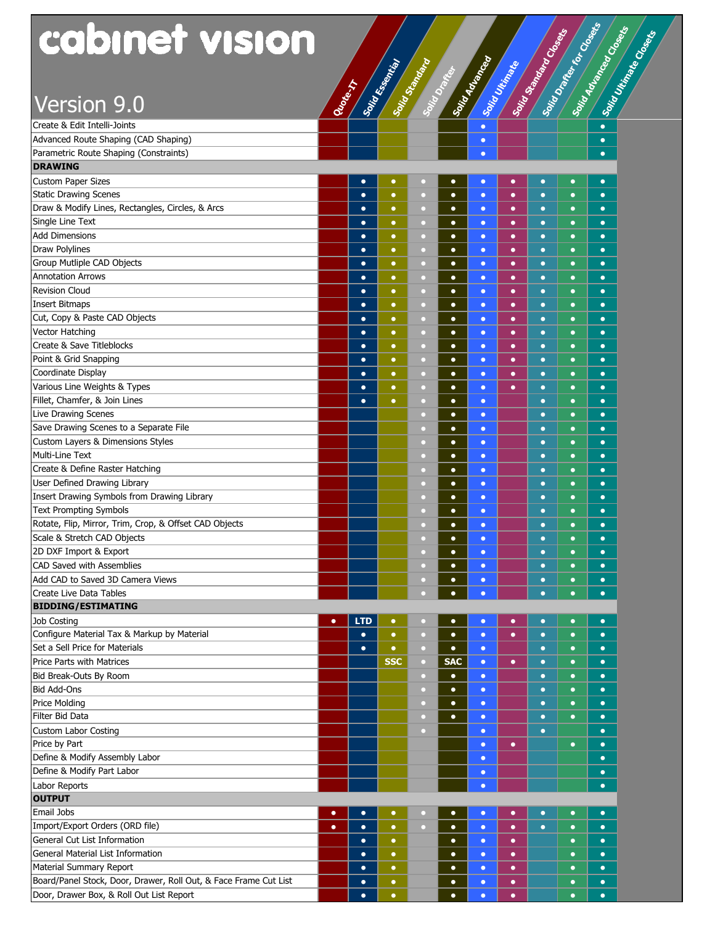### Version 9.0 **Quote-IT**

| <b>cabinet vision</b>                                            |           |                                                                                                               |            |           |            |           |           | Soint Standard Closets |           | Solid Drafts for Closets<br>Soirt Advanced Concern |
|------------------------------------------------------------------|-----------|---------------------------------------------------------------------------------------------------------------|------------|-----------|------------|-----------|-----------|------------------------|-----------|----------------------------------------------------|
|                                                                  |           | Santa Care de Care de La Care de La Care de La Care de La Care de La Care de La Care de La Care de La Care de |            |           |            |           |           |                        |           |                                                    |
| Version 9.0                                                      |           |                                                                                                               |            |           |            |           |           |                        |           |                                                    |
| Create & Edit Intelli-Joints                                     |           |                                                                                                               |            |           |            | $\bullet$ |           |                        |           | $\bullet$                                          |
| Advanced Route Shaping (CAD Shaping)                             |           |                                                                                                               |            |           |            | $\bullet$ |           |                        |           | $\bullet$                                          |
| Parametric Route Shaping (Constraints)                           |           |                                                                                                               |            |           |            | $\bullet$ |           |                        |           | $\bullet$                                          |
| <b>DRAWING</b>                                                   |           |                                                                                                               |            |           |            |           |           |                        |           |                                                    |
| <b>Custom Paper Sizes</b>                                        |           | $\bullet$                                                                                                     | $\bullet$  | о         | $\bullet$  | $\bullet$ | $\bullet$ | $\bullet$              | $\bullet$ | $\bullet$                                          |
| <b>Static Drawing Scenes</b>                                     |           | $\bullet$                                                                                                     | $\bullet$  | $\Box$    | $\bullet$  | $\bullet$ | $\bullet$ | $\bullet$              | $\bullet$ | $\bullet$                                          |
| Draw & Modify Lines, Rectangles, Circles, & Arcs                 |           | $\bullet$                                                                                                     | $\bullet$  | $\Box$    | $\bullet$  | $\bullet$ | $\bullet$ | $\bullet$              | $\bullet$ | $\bullet$                                          |
| Single Line Text                                                 |           | $\bullet$                                                                                                     | $\bullet$  | $\circ$   | $\bullet$  | $\bullet$ | $\bullet$ | $\bullet$              | $\bullet$ | $\bullet$                                          |
| <b>Add Dimensions</b>                                            |           | $\bullet$                                                                                                     | $\bullet$  | $\Box$    | $\bullet$  | $\bullet$ | $\bullet$ | $\bullet$              | $\bullet$ | $\bullet$                                          |
| <b>Draw Polylines</b>                                            |           | $\bullet$                                                                                                     | $\bullet$  | о         | $\bullet$  | $\bullet$ | $\bullet$ | $\bullet$              | $\bullet$ | $\bullet$                                          |
| Group Mutliple CAD Objects                                       |           | $\bullet$                                                                                                     | $\bullet$  | о         | $\bullet$  | $\bullet$ | $\bullet$ | $\bullet$              | $\bullet$ | $\bullet$                                          |
| <b>Annotation Arrows</b>                                         |           | $\bullet$                                                                                                     | $\bullet$  | о         | $\bullet$  | $\bullet$ | $\bullet$ | $\bullet$              | $\bullet$ | $\bullet$                                          |
| <b>Revision Cloud</b>                                            |           | $\bullet$                                                                                                     | $\bullet$  | о         | $\bullet$  | $\bullet$ | $\bullet$ | $\bullet$              | $\bullet$ | $\bullet$                                          |
| Insert Bitmaps                                                   |           | $\bullet$                                                                                                     | $\bullet$  | о         | $\bullet$  | $\bullet$ | $\bullet$ | $\bullet$              | $\bullet$ | $\bullet$                                          |
| Cut, Copy & Paste CAD Objects                                    |           | $\bullet$                                                                                                     | $\bullet$  | о         | $\bullet$  | $\bullet$ | $\bullet$ | $\bullet$              | $\bullet$ | $\bullet$                                          |
| Vector Hatching                                                  |           | $\bullet$                                                                                                     | $\bullet$  | $\Box$    | $\bullet$  | $\bullet$ | $\bullet$ | $\bullet$              | $\bullet$ | $\bullet$                                          |
| Create & Save Titleblocks                                        |           | $\bullet$                                                                                                     | $\bullet$  | $\Box$    | $\bullet$  | $\bullet$ | $\bullet$ | $\bullet$              | $\bullet$ | $\bullet$                                          |
| Point & Grid Snapping                                            |           | $\bullet$                                                                                                     | $\bullet$  | $\circ$   | $\bullet$  | $\bullet$ | $\bullet$ | $\bullet$              | $\bullet$ | $\bullet$                                          |
| Coordinate Display                                               |           | $\bullet$                                                                                                     | $\bullet$  | $\circ$   | $\bullet$  | $\bullet$ | $\bullet$ | $\bullet$              | $\bullet$ | $\bullet$                                          |
| Various Line Weights & Types                                     |           | $\bullet$                                                                                                     | $\bullet$  | $\circ$   | $\bullet$  | $\bullet$ | $\bullet$ | $\bullet$              | $\bullet$ | $\bullet$                                          |
| Fillet, Chamfer, & Join Lines                                    |           | $\bullet$                                                                                                     | $\bullet$  | $\circ$   | $\bullet$  | $\bullet$ |           | $\bullet$              | $\bullet$ | $\bullet$                                          |
| <b>Live Drawing Scenes</b>                                       |           |                                                                                                               |            | $\circ$   | $\bullet$  | $\bullet$ |           | $\bullet$              | $\bullet$ | $\bullet$                                          |
| Save Drawing Scenes to a Separate File                           |           |                                                                                                               |            | $\Box$    | $\bullet$  | $\bullet$ |           | $\bullet$              | $\bullet$ | $\bullet$                                          |
| Custom Layers & Dimensions Styles                                |           |                                                                                                               |            | $\Box$    | $\bullet$  | $\bullet$ |           | $\bullet$              | $\bullet$ | $\bullet$                                          |
| Multi-Line Text                                                  |           |                                                                                                               |            | $\Box$    | $\bullet$  | $\bullet$ |           | $\bullet$              | $\bullet$ | $\bullet$                                          |
| Create & Define Raster Hatching                                  |           |                                                                                                               |            | $\Box$    | $\bullet$  | $\bullet$ |           | $\bullet$              | $\bullet$ | $\bullet$                                          |
| User Defined Drawing Library                                     |           |                                                                                                               |            | $\Box$    | $\bullet$  | $\bullet$ |           | $\bullet$              | $\bullet$ | $\bullet$                                          |
| Insert Drawing Symbols from Drawing Library                      |           |                                                                                                               |            | o         | $\bullet$  | $\bullet$ |           | $\bullet$              | $\bullet$ | $\bullet$                                          |
| <b>Text Prompting Symbols</b>                                    |           |                                                                                                               |            | о         | $\bullet$  | $\bullet$ |           | $\bullet$              | $\bullet$ | $\bullet$                                          |
| Rotate, Flip, Mirror, Trim, Crop, & Offset CAD Objects           |           |                                                                                                               |            | $\Box$    | $\bullet$  | $\bullet$ |           | $\bullet$              | $\bullet$ | $\bullet$                                          |
| Scale & Stretch CAD Objects                                      |           |                                                                                                               |            | п         | $\bullet$  | $\bullet$ |           | $\bullet$              | $\bullet$ | $\bullet$                                          |
| 2D DXF Import & Export                                           |           |                                                                                                               |            | $\Box$    | $\bullet$  | $\bullet$ |           | $\bullet$              | $\bullet$ | $\bullet$                                          |
| CAD Saved with Assemblies                                        |           |                                                                                                               |            | $\Box$    | $\bullet$  | $\bullet$ |           | $\bullet$              | $\bullet$ | $\bullet$                                          |
| Add CAD to Saved 3D Camera Views                                 |           |                                                                                                               |            | $\Box$    | $\bullet$  | $\bullet$ |           | $\bullet$              | $\bullet$ | $\bullet$                                          |
| Create Live Data Tables                                          |           |                                                                                                               |            | a         | $\bullet$  | $\bullet$ |           | $\bullet$              | $\bullet$ | $\bullet$                                          |
| <b>BIDDING/ESTIMATING</b>                                        |           |                                                                                                               |            |           |            |           |           |                        |           |                                                    |
| Job Costing                                                      | $\bullet$ | <b>LTD</b>                                                                                                    | $\bullet$  | O         | $\bullet$  | $\bullet$ | $\bullet$ | $\bullet$              | $\bullet$ | $\bullet$                                          |
| Configure Material Tax & Markup by Material                      |           | $\bullet$                                                                                                     | $\bullet$  | $\Box$    | $\bullet$  | $\bullet$ | $\bullet$ | $\bullet$              | $\bullet$ | $\bullet$                                          |
| Set a Sell Price for Materials                                   |           | $\bullet$                                                                                                     | $\bullet$  | $\Box$    | $\bullet$  | $\bullet$ |           | $\bullet$              | $\bullet$ | $\bullet$                                          |
| <b>Price Parts with Matrices</b>                                 |           |                                                                                                               | <b>SSC</b> | $\Box$    | <b>SAC</b> | $\bullet$ | $\bullet$ | $\bullet$              | $\bullet$ | $\bullet$                                          |
| Bid Break-Outs By Room                                           |           |                                                                                                               |            | $\Box$    | $\bullet$  | $\bullet$ |           | $\bullet$              | $\bullet$ | $\bullet$                                          |
| <b>Bid Add-Ons</b>                                               |           |                                                                                                               |            | $\Box$    | $\bullet$  | $\bullet$ |           | $\bullet$              | $\bullet$ | $\bullet$                                          |
| <b>Price Molding</b>                                             |           |                                                                                                               |            | $\Box$    | $\bullet$  | $\bullet$ |           | $\bullet$              | $\bullet$ | $\bullet$                                          |
| Filter Bid Data                                                  |           |                                                                                                               |            | $\circ$   | $\bullet$  | $\bullet$ |           | $\bullet$              | $\bullet$ | $\bullet$                                          |
| <b>Custom Labor Costing</b>                                      |           |                                                                                                               |            | $\circ$   |            | $\bullet$ |           | $\bullet$              |           | $\bullet$                                          |
| Price by Part                                                    |           |                                                                                                               |            |           |            | $\bullet$ | $\bullet$ |                        | $\bullet$ | $\bullet$                                          |
| Define & Modify Assembly Labor                                   |           |                                                                                                               |            |           |            | $\bullet$ |           |                        |           | $\bullet$                                          |
| Define & Modify Part Labor                                       |           |                                                                                                               |            |           |            | $\bullet$ |           |                        |           | $\bullet$                                          |
| Labor Reports                                                    |           |                                                                                                               |            |           |            | $\bullet$ |           |                        |           | $\bullet$                                          |
| <b>OUTPUT</b>                                                    |           |                                                                                                               |            |           |            |           |           |                        |           |                                                    |
| <b>Email Jobs</b>                                                | $\bullet$ | $\bullet$                                                                                                     | $\bullet$  | o         | $\bullet$  | $\bullet$ | $\bullet$ | $\bullet$              | $\bullet$ | $\bullet$                                          |
| Import/Export Orders (ORD file)                                  | $\bullet$ | $\bullet$                                                                                                     | $\bullet$  | $\bullet$ | $\bullet$  | $\bullet$ | $\bullet$ | $\bullet$              | $\bullet$ | $\bullet$                                          |
| General Cut List Information                                     |           | $\bullet$                                                                                                     | $\bullet$  |           | $\bullet$  | $\bullet$ | $\bullet$ |                        | $\bullet$ | $\bullet$                                          |
| General Material List Information                                |           | $\bullet$                                                                                                     | $\bullet$  |           | $\bullet$  | $\bullet$ | $\bullet$ |                        | $\bullet$ | $\bullet$                                          |
| Material Summary Report                                          |           | $\bullet$                                                                                                     | $\bullet$  |           | $\bullet$  | $\bullet$ | $\bullet$ |                        | $\bullet$ | $\bullet$                                          |
| Board/Panel Stock, Door, Drawer, Roll Out, & Face Frame Cut List |           | $\bullet$                                                                                                     | ٠          |           | $\bullet$  | $\bullet$ | $\bullet$ |                        | $\bullet$ | $\bullet$                                          |
| Door, Drawer Box, & Roll Out List Report                         |           | $\bullet$                                                                                                     | $\bullet$  |           | $\bullet$  | $\bullet$ | $\bullet$ |                        | $\bullet$ | $\bullet$                                          |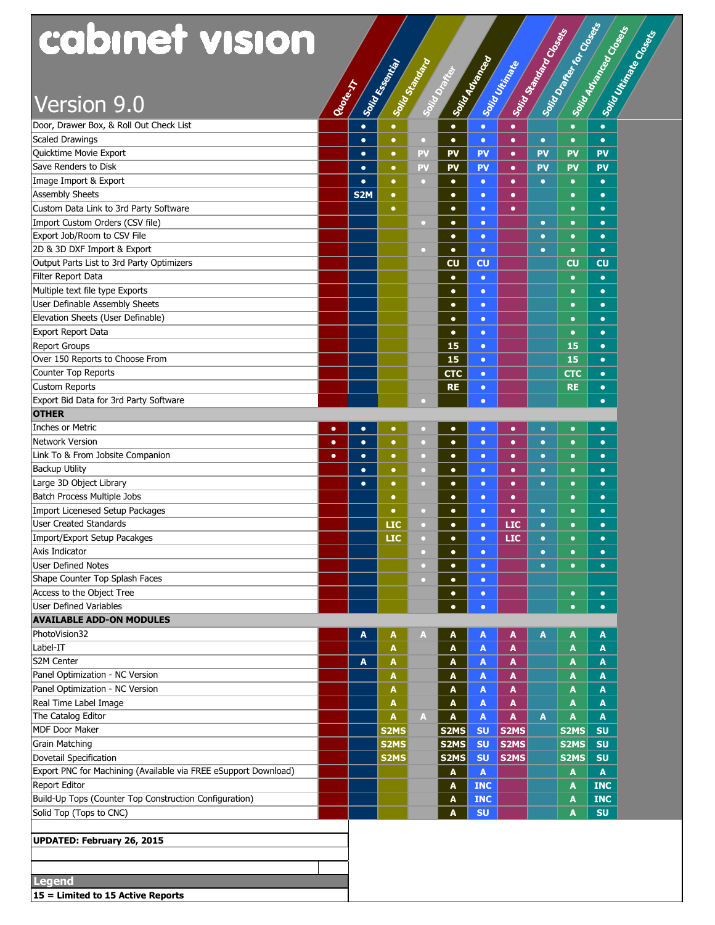| Solid Drafter for Closets<br>cabinet vision<br>Solid Advanced Costs<br><b>Solid Scandale Construction</b><br>Soing Utin Read Conserve<br>Solvin due de la Care<br>Source Semana Read<br>Solid Essential<br>Solid Ultimate<br><b>Change</b><br>Version 9.0<br>Door, Drawer Box, & Roll Out Check List<br>$\bullet$<br>$\bullet$<br>$\bullet$<br>$\bullet$<br>$\bullet$<br><b>Scaled Drawings</b><br>$\bullet$<br>$\bullet$<br>$\Box$<br>$\bullet$<br>$\bullet$<br>$\bullet$<br>$\bullet$<br>$\bullet$<br>$\bullet$<br>Quicktime Movie Export<br><b>PV</b><br>PV<br><b>PV</b><br><b>PV</b><br>PV<br><b>PV</b><br>$\bullet$<br>$\bullet$<br>$\bullet$<br>Save Renders to Disk<br><b>PV</b><br><b>PV</b><br><b>PV</b><br>PV<br><b>PV</b><br><b>PV</b><br>$\bullet$<br>$\bullet$<br>$\bullet$<br>Image Import & Export<br>$\bullet$<br>$\bullet$<br>$\bullet$<br>$\bullet$<br>$\bullet$<br>$\bullet$<br>$\mathbf C$<br>$\bullet$<br>$\bullet$<br><b>Assembly Sheets</b><br>S <sub>2</sub> M<br>$\bullet$<br>$\bullet$<br>$\bullet$<br>$\bullet$<br>$\bullet$<br>$\bullet$<br>Custom Data Link to 3rd Party Software<br>$\bullet$<br>$\bullet$<br>$\bullet$<br>$\bullet$<br>$\bullet$<br>$\bullet$<br>Import Custom Orders (CSV file)<br>$\bullet$<br>$\bullet$<br>$\bullet$<br>$\Box$<br>$\bullet$<br>$\bullet$<br>Export Job/Room to CSV File<br>$\bullet$<br>$\bullet$<br>$\bullet$<br>$\bullet$<br>$\bullet$<br>2D & 3D DXF Import & Export<br>$\bullet$<br>$\bullet$<br>$\bullet$<br>n<br>$\bullet$<br>$\bullet$<br>Output Parts List to 3rd Party Optimizers<br><b>CU</b><br><b>CU</b><br>CU<br><b>CU</b><br>Filter Report Data<br>$\bullet$<br>$\bullet$<br>$\bullet$<br>$\bullet$<br>Multiple text file type Exports<br>$\bullet$<br>$\bullet$<br>$\bullet$<br>$\bullet$<br>User Definable Assembly Sheets<br>$\bullet$<br>$\bullet$<br>$\bullet$<br>$\bullet$<br>Elevation Sheets (User Definable)<br>$\bullet$<br>$\bullet$<br>$\bullet$<br>$\bullet$<br>$\bullet$<br>$\bullet$<br>$\bullet$<br>$\bullet$<br><b>Report Groups</b><br>15<br>15<br>$\bullet$<br>$\bullet$<br>Over 150 Reports to Choose From<br>15<br>15<br>$\bullet$<br>$\bullet$<br>Counter Top Reports<br><b>CTC</b><br><b>CTC</b><br>$\bullet$<br>$\bullet$<br><b>Custom Reports</b><br><b>RE</b><br><b>RE</b><br>$\bullet$<br>$\bullet$<br>Export Bid Data for 3rd Party Software<br>$\bullet$<br>$\bullet$<br><b>OTHER</b><br><b>Inches or Metric</b><br>$\bullet$<br>$\bullet$<br>$\bullet$<br>$\bullet$<br>$\bullet$<br>$\bullet$<br>$\bullet$<br>$\bullet$<br>$\bullet$<br>n<br><b>Network Version</b><br>$\bullet$<br>$\bullet$<br>$\bullet$<br>$\bullet$<br>$\bullet$<br>$\bullet$<br>$\circ$<br>$\bullet$<br>$\bullet$<br>$\bullet$<br>Link To & From Jobsite Companion<br>$\bullet$<br>$\bullet$<br>$\bullet$<br>$\bullet$<br>$\bullet$<br>$\bullet$<br>$\bullet$<br>$\circ$<br>$\bullet$<br>$\bullet$<br><b>Backup Utility</b><br>$\bullet$<br>$\bullet$<br>$\bullet$<br>$\bullet$<br>$\bullet$<br>$\bullet$<br>$\bullet$<br>$\circ$<br>$\bullet$<br>Large 3D Object Library<br>$\bullet$<br>$\bullet$<br>$\bullet$<br>$\Box$<br>$\bullet$<br>$\bullet$<br>$\bullet$<br>$\bullet$<br>$\bullet$<br>Batch Process Multiple Jobs<br>$\bullet$<br>$\bullet$<br>$\bullet$<br>$\bullet$<br>$\bullet$<br>$\bullet$<br>Import Licenesed Setup Packages<br>$\bullet$<br>$\bullet$<br>$\bullet$<br>$\bullet$<br>$\bullet$<br>$\Box$<br>$\bullet$<br>$\bullet$<br><b>User Created Standards</b><br>LIC<br><b>LIC</b><br>$\bullet$<br>$\bullet$<br>$\bullet$<br>$\bullet$<br>$\bullet$<br>о<br><b>LIC</b><br><b>LIC</b><br>$\bullet$<br>$\bullet$<br>$\bullet$<br>$\bullet$<br>$\bullet$<br>Axis Indicator<br>$\bullet$<br>$\bullet$<br>$\bullet$<br>$\bullet$<br>$\bullet$<br><b>User Defined Notes</b><br>$\bullet$<br>$\bullet$<br>$\bullet$<br>$\bullet$<br>$\bullet$<br>Shape Counter Top Splash Faces<br>$\bullet$<br>n<br>$\bullet$<br>Access to the Object Tree<br>$\bullet$<br>$\bullet$<br>$\bullet$<br>$\bullet$<br><b>User Defined Variables</b><br>$\bullet$<br>$\bullet$<br>$\bullet$<br>$\bullet$<br><b>AVAILABLE ADD-ON MODULES</b><br>PhotoVision32<br>A<br>A<br>A<br>A<br>A<br>A<br>A<br>A<br>A<br>Label-IT<br>A<br>A<br>A<br>A<br>A<br>A<br>S2M Center<br>A<br>$\boldsymbol{\mathsf{A}}$<br>A<br>A<br>A<br>A<br>A<br>Panel Optimization - NC Version<br>A<br>A<br>A<br>A<br>A<br>A<br>Panel Optimization - NC Version<br>A<br>A<br>A<br>A<br>A<br>A<br>Real Time Label Image<br>A<br>A<br>A<br>A<br>A<br>A<br>The Catalog Editor<br>A<br>$\blacktriangle$<br>A<br>A<br>A<br>A<br>A<br>A<br>MDF Door Maker<br>S2MS<br>S2MS<br><b>SU</b><br>S <sub>2</sub> MS<br>S2MS<br><b>SU</b><br><b>Grain Matching</b><br>S2MS<br>S <sub>2</sub> MS<br>S2MS<br><b>SU</b><br>S2MS<br><b>SU</b><br>S2MS<br>S <sub>2</sub> MS<br>S2MS<br><b>SU</b><br>S2MS<br><b>SU</b><br>$\mathbf{A}$<br>$\blacktriangle$<br>A<br>A<br><b>INC</b><br><b>INC</b><br>A<br>A<br>Build-Up Tops (Counter Top Construction Configuration)<br><b>INC</b><br><b>INC</b><br>A<br>A<br><b>SU</b><br>Solid Top (Tops to CNC)<br><b>SU</b><br>A<br>A<br><b>UPDATED: February 26, 2015</b><br><b>Legend</b><br>15 = Limited to 15 Active Reports |                                                                 |  |  |  |  |  |  |
|----------------------------------------------------------------------------------------------------------------------------------------------------------------------------------------------------------------------------------------------------------------------------------------------------------------------------------------------------------------------------------------------------------------------------------------------------------------------------------------------------------------------------------------------------------------------------------------------------------------------------------------------------------------------------------------------------------------------------------------------------------------------------------------------------------------------------------------------------------------------------------------------------------------------------------------------------------------------------------------------------------------------------------------------------------------------------------------------------------------------------------------------------------------------------------------------------------------------------------------------------------------------------------------------------------------------------------------------------------------------------------------------------------------------------------------------------------------------------------------------------------------------------------------------------------------------------------------------------------------------------------------------------------------------------------------------------------------------------------------------------------------------------------------------------------------------------------------------------------------------------------------------------------------------------------------------------------------------------------------------------------------------------------------------------------------------------------------------------------------------------------------------------------------------------------------------------------------------------------------------------------------------------------------------------------------------------------------------------------------------------------------------------------------------------------------------------------------------------------------------------------------------------------------------------------------------------------------------------------------------------------------------------------------------------------------------------------------------------------------------------------------------------------------------------------------------------------------------------------------------------------------------------------------------------------------------------------------------------------------------------------------------------------------------------------------------------------------------------------------------------------------------------------------------------------------------------------------------------------------------------------------------------------------------------------------------------------------------------------------------------------------------------------------------------------------------------------------------------------------------------------------------------------------------------------------------------------------------------------------------------------------------------------------------------------------------------------------------------------------------------------------------------------------------------------------------------------------------------------------------------------------------------------------------------------------------------------------------------------------------------------------------------------------------------------------------------------------------------------------------------------------------------------------------------------------------------------------------------------------------------------------------------------------------------------------------------------------------------------------------------------------------------------------------------------------------------------------------------------------------------------------------------------------------------------------------------------------------------------------------------------------------------------------------------------------------------------------------------------------------------------------------------------------------------------------------------------------------------------------------------------------------------------------------------------------------------------------------------------------------------------------------------------------------------------------------------------------------------------------------------------------------------------------------------------------------|-----------------------------------------------------------------|--|--|--|--|--|--|
|                                                                                                                                                                                                                                                                                                                                                                                                                                                                                                                                                                                                                                                                                                                                                                                                                                                                                                                                                                                                                                                                                                                                                                                                                                                                                                                                                                                                                                                                                                                                                                                                                                                                                                                                                                                                                                                                                                                                                                                                                                                                                                                                                                                                                                                                                                                                                                                                                                                                                                                                                                                                                                                                                                                                                                                                                                                                                                                                                                                                                                                                                                                                                                                                                                                                                                                                                                                                                                                                                                                                                                                                                                                                                                                                                                                                                                                                                                                                                                                                                                                                                                                                                                                                                                                                                                                                                                                                                                                                                                                                                                                                                                                                                                                                                                                                                                                                                                                                                                                                                                                                                                                                                                                              |                                                                 |  |  |  |  |  |  |
|                                                                                                                                                                                                                                                                                                                                                                                                                                                                                                                                                                                                                                                                                                                                                                                                                                                                                                                                                                                                                                                                                                                                                                                                                                                                                                                                                                                                                                                                                                                                                                                                                                                                                                                                                                                                                                                                                                                                                                                                                                                                                                                                                                                                                                                                                                                                                                                                                                                                                                                                                                                                                                                                                                                                                                                                                                                                                                                                                                                                                                                                                                                                                                                                                                                                                                                                                                                                                                                                                                                                                                                                                                                                                                                                                                                                                                                                                                                                                                                                                                                                                                                                                                                                                                                                                                                                                                                                                                                                                                                                                                                                                                                                                                                                                                                                                                                                                                                                                                                                                                                                                                                                                                                              |                                                                 |  |  |  |  |  |  |
|                                                                                                                                                                                                                                                                                                                                                                                                                                                                                                                                                                                                                                                                                                                                                                                                                                                                                                                                                                                                                                                                                                                                                                                                                                                                                                                                                                                                                                                                                                                                                                                                                                                                                                                                                                                                                                                                                                                                                                                                                                                                                                                                                                                                                                                                                                                                                                                                                                                                                                                                                                                                                                                                                                                                                                                                                                                                                                                                                                                                                                                                                                                                                                                                                                                                                                                                                                                                                                                                                                                                                                                                                                                                                                                                                                                                                                                                                                                                                                                                                                                                                                                                                                                                                                                                                                                                                                                                                                                                                                                                                                                                                                                                                                                                                                                                                                                                                                                                                                                                                                                                                                                                                                                              |                                                                 |  |  |  |  |  |  |
|                                                                                                                                                                                                                                                                                                                                                                                                                                                                                                                                                                                                                                                                                                                                                                                                                                                                                                                                                                                                                                                                                                                                                                                                                                                                                                                                                                                                                                                                                                                                                                                                                                                                                                                                                                                                                                                                                                                                                                                                                                                                                                                                                                                                                                                                                                                                                                                                                                                                                                                                                                                                                                                                                                                                                                                                                                                                                                                                                                                                                                                                                                                                                                                                                                                                                                                                                                                                                                                                                                                                                                                                                                                                                                                                                                                                                                                                                                                                                                                                                                                                                                                                                                                                                                                                                                                                                                                                                                                                                                                                                                                                                                                                                                                                                                                                                                                                                                                                                                                                                                                                                                                                                                                              |                                                                 |  |  |  |  |  |  |
|                                                                                                                                                                                                                                                                                                                                                                                                                                                                                                                                                                                                                                                                                                                                                                                                                                                                                                                                                                                                                                                                                                                                                                                                                                                                                                                                                                                                                                                                                                                                                                                                                                                                                                                                                                                                                                                                                                                                                                                                                                                                                                                                                                                                                                                                                                                                                                                                                                                                                                                                                                                                                                                                                                                                                                                                                                                                                                                                                                                                                                                                                                                                                                                                                                                                                                                                                                                                                                                                                                                                                                                                                                                                                                                                                                                                                                                                                                                                                                                                                                                                                                                                                                                                                                                                                                                                                                                                                                                                                                                                                                                                                                                                                                                                                                                                                                                                                                                                                                                                                                                                                                                                                                                              |                                                                 |  |  |  |  |  |  |
|                                                                                                                                                                                                                                                                                                                                                                                                                                                                                                                                                                                                                                                                                                                                                                                                                                                                                                                                                                                                                                                                                                                                                                                                                                                                                                                                                                                                                                                                                                                                                                                                                                                                                                                                                                                                                                                                                                                                                                                                                                                                                                                                                                                                                                                                                                                                                                                                                                                                                                                                                                                                                                                                                                                                                                                                                                                                                                                                                                                                                                                                                                                                                                                                                                                                                                                                                                                                                                                                                                                                                                                                                                                                                                                                                                                                                                                                                                                                                                                                                                                                                                                                                                                                                                                                                                                                                                                                                                                                                                                                                                                                                                                                                                                                                                                                                                                                                                                                                                                                                                                                                                                                                                                              |                                                                 |  |  |  |  |  |  |
|                                                                                                                                                                                                                                                                                                                                                                                                                                                                                                                                                                                                                                                                                                                                                                                                                                                                                                                                                                                                                                                                                                                                                                                                                                                                                                                                                                                                                                                                                                                                                                                                                                                                                                                                                                                                                                                                                                                                                                                                                                                                                                                                                                                                                                                                                                                                                                                                                                                                                                                                                                                                                                                                                                                                                                                                                                                                                                                                                                                                                                                                                                                                                                                                                                                                                                                                                                                                                                                                                                                                                                                                                                                                                                                                                                                                                                                                                                                                                                                                                                                                                                                                                                                                                                                                                                                                                                                                                                                                                                                                                                                                                                                                                                                                                                                                                                                                                                                                                                                                                                                                                                                                                                                              |                                                                 |  |  |  |  |  |  |
|                                                                                                                                                                                                                                                                                                                                                                                                                                                                                                                                                                                                                                                                                                                                                                                                                                                                                                                                                                                                                                                                                                                                                                                                                                                                                                                                                                                                                                                                                                                                                                                                                                                                                                                                                                                                                                                                                                                                                                                                                                                                                                                                                                                                                                                                                                                                                                                                                                                                                                                                                                                                                                                                                                                                                                                                                                                                                                                                                                                                                                                                                                                                                                                                                                                                                                                                                                                                                                                                                                                                                                                                                                                                                                                                                                                                                                                                                                                                                                                                                                                                                                                                                                                                                                                                                                                                                                                                                                                                                                                                                                                                                                                                                                                                                                                                                                                                                                                                                                                                                                                                                                                                                                                              |                                                                 |  |  |  |  |  |  |
|                                                                                                                                                                                                                                                                                                                                                                                                                                                                                                                                                                                                                                                                                                                                                                                                                                                                                                                                                                                                                                                                                                                                                                                                                                                                                                                                                                                                                                                                                                                                                                                                                                                                                                                                                                                                                                                                                                                                                                                                                                                                                                                                                                                                                                                                                                                                                                                                                                                                                                                                                                                                                                                                                                                                                                                                                                                                                                                                                                                                                                                                                                                                                                                                                                                                                                                                                                                                                                                                                                                                                                                                                                                                                                                                                                                                                                                                                                                                                                                                                                                                                                                                                                                                                                                                                                                                                                                                                                                                                                                                                                                                                                                                                                                                                                                                                                                                                                                                                                                                                                                                                                                                                                                              |                                                                 |  |  |  |  |  |  |
|                                                                                                                                                                                                                                                                                                                                                                                                                                                                                                                                                                                                                                                                                                                                                                                                                                                                                                                                                                                                                                                                                                                                                                                                                                                                                                                                                                                                                                                                                                                                                                                                                                                                                                                                                                                                                                                                                                                                                                                                                                                                                                                                                                                                                                                                                                                                                                                                                                                                                                                                                                                                                                                                                                                                                                                                                                                                                                                                                                                                                                                                                                                                                                                                                                                                                                                                                                                                                                                                                                                                                                                                                                                                                                                                                                                                                                                                                                                                                                                                                                                                                                                                                                                                                                                                                                                                                                                                                                                                                                                                                                                                                                                                                                                                                                                                                                                                                                                                                                                                                                                                                                                                                                                              |                                                                 |  |  |  |  |  |  |
|                                                                                                                                                                                                                                                                                                                                                                                                                                                                                                                                                                                                                                                                                                                                                                                                                                                                                                                                                                                                                                                                                                                                                                                                                                                                                                                                                                                                                                                                                                                                                                                                                                                                                                                                                                                                                                                                                                                                                                                                                                                                                                                                                                                                                                                                                                                                                                                                                                                                                                                                                                                                                                                                                                                                                                                                                                                                                                                                                                                                                                                                                                                                                                                                                                                                                                                                                                                                                                                                                                                                                                                                                                                                                                                                                                                                                                                                                                                                                                                                                                                                                                                                                                                                                                                                                                                                                                                                                                                                                                                                                                                                                                                                                                                                                                                                                                                                                                                                                                                                                                                                                                                                                                                              |                                                                 |  |  |  |  |  |  |
|                                                                                                                                                                                                                                                                                                                                                                                                                                                                                                                                                                                                                                                                                                                                                                                                                                                                                                                                                                                                                                                                                                                                                                                                                                                                                                                                                                                                                                                                                                                                                                                                                                                                                                                                                                                                                                                                                                                                                                                                                                                                                                                                                                                                                                                                                                                                                                                                                                                                                                                                                                                                                                                                                                                                                                                                                                                                                                                                                                                                                                                                                                                                                                                                                                                                                                                                                                                                                                                                                                                                                                                                                                                                                                                                                                                                                                                                                                                                                                                                                                                                                                                                                                                                                                                                                                                                                                                                                                                                                                                                                                                                                                                                                                                                                                                                                                                                                                                                                                                                                                                                                                                                                                                              |                                                                 |  |  |  |  |  |  |
|                                                                                                                                                                                                                                                                                                                                                                                                                                                                                                                                                                                                                                                                                                                                                                                                                                                                                                                                                                                                                                                                                                                                                                                                                                                                                                                                                                                                                                                                                                                                                                                                                                                                                                                                                                                                                                                                                                                                                                                                                                                                                                                                                                                                                                                                                                                                                                                                                                                                                                                                                                                                                                                                                                                                                                                                                                                                                                                                                                                                                                                                                                                                                                                                                                                                                                                                                                                                                                                                                                                                                                                                                                                                                                                                                                                                                                                                                                                                                                                                                                                                                                                                                                                                                                                                                                                                                                                                                                                                                                                                                                                                                                                                                                                                                                                                                                                                                                                                                                                                                                                                                                                                                                                              |                                                                 |  |  |  |  |  |  |
|                                                                                                                                                                                                                                                                                                                                                                                                                                                                                                                                                                                                                                                                                                                                                                                                                                                                                                                                                                                                                                                                                                                                                                                                                                                                                                                                                                                                                                                                                                                                                                                                                                                                                                                                                                                                                                                                                                                                                                                                                                                                                                                                                                                                                                                                                                                                                                                                                                                                                                                                                                                                                                                                                                                                                                                                                                                                                                                                                                                                                                                                                                                                                                                                                                                                                                                                                                                                                                                                                                                                                                                                                                                                                                                                                                                                                                                                                                                                                                                                                                                                                                                                                                                                                                                                                                                                                                                                                                                                                                                                                                                                                                                                                                                                                                                                                                                                                                                                                                                                                                                                                                                                                                                              |                                                                 |  |  |  |  |  |  |
|                                                                                                                                                                                                                                                                                                                                                                                                                                                                                                                                                                                                                                                                                                                                                                                                                                                                                                                                                                                                                                                                                                                                                                                                                                                                                                                                                                                                                                                                                                                                                                                                                                                                                                                                                                                                                                                                                                                                                                                                                                                                                                                                                                                                                                                                                                                                                                                                                                                                                                                                                                                                                                                                                                                                                                                                                                                                                                                                                                                                                                                                                                                                                                                                                                                                                                                                                                                                                                                                                                                                                                                                                                                                                                                                                                                                                                                                                                                                                                                                                                                                                                                                                                                                                                                                                                                                                                                                                                                                                                                                                                                                                                                                                                                                                                                                                                                                                                                                                                                                                                                                                                                                                                                              |                                                                 |  |  |  |  |  |  |
|                                                                                                                                                                                                                                                                                                                                                                                                                                                                                                                                                                                                                                                                                                                                                                                                                                                                                                                                                                                                                                                                                                                                                                                                                                                                                                                                                                                                                                                                                                                                                                                                                                                                                                                                                                                                                                                                                                                                                                                                                                                                                                                                                                                                                                                                                                                                                                                                                                                                                                                                                                                                                                                                                                                                                                                                                                                                                                                                                                                                                                                                                                                                                                                                                                                                                                                                                                                                                                                                                                                                                                                                                                                                                                                                                                                                                                                                                                                                                                                                                                                                                                                                                                                                                                                                                                                                                                                                                                                                                                                                                                                                                                                                                                                                                                                                                                                                                                                                                                                                                                                                                                                                                                                              |                                                                 |  |  |  |  |  |  |
|                                                                                                                                                                                                                                                                                                                                                                                                                                                                                                                                                                                                                                                                                                                                                                                                                                                                                                                                                                                                                                                                                                                                                                                                                                                                                                                                                                                                                                                                                                                                                                                                                                                                                                                                                                                                                                                                                                                                                                                                                                                                                                                                                                                                                                                                                                                                                                                                                                                                                                                                                                                                                                                                                                                                                                                                                                                                                                                                                                                                                                                                                                                                                                                                                                                                                                                                                                                                                                                                                                                                                                                                                                                                                                                                                                                                                                                                                                                                                                                                                                                                                                                                                                                                                                                                                                                                                                                                                                                                                                                                                                                                                                                                                                                                                                                                                                                                                                                                                                                                                                                                                                                                                                                              |                                                                 |  |  |  |  |  |  |
|                                                                                                                                                                                                                                                                                                                                                                                                                                                                                                                                                                                                                                                                                                                                                                                                                                                                                                                                                                                                                                                                                                                                                                                                                                                                                                                                                                                                                                                                                                                                                                                                                                                                                                                                                                                                                                                                                                                                                                                                                                                                                                                                                                                                                                                                                                                                                                                                                                                                                                                                                                                                                                                                                                                                                                                                                                                                                                                                                                                                                                                                                                                                                                                                                                                                                                                                                                                                                                                                                                                                                                                                                                                                                                                                                                                                                                                                                                                                                                                                                                                                                                                                                                                                                                                                                                                                                                                                                                                                                                                                                                                                                                                                                                                                                                                                                                                                                                                                                                                                                                                                                                                                                                                              |                                                                 |  |  |  |  |  |  |
|                                                                                                                                                                                                                                                                                                                                                                                                                                                                                                                                                                                                                                                                                                                                                                                                                                                                                                                                                                                                                                                                                                                                                                                                                                                                                                                                                                                                                                                                                                                                                                                                                                                                                                                                                                                                                                                                                                                                                                                                                                                                                                                                                                                                                                                                                                                                                                                                                                                                                                                                                                                                                                                                                                                                                                                                                                                                                                                                                                                                                                                                                                                                                                                                                                                                                                                                                                                                                                                                                                                                                                                                                                                                                                                                                                                                                                                                                                                                                                                                                                                                                                                                                                                                                                                                                                                                                                                                                                                                                                                                                                                                                                                                                                                                                                                                                                                                                                                                                                                                                                                                                                                                                                                              |                                                                 |  |  |  |  |  |  |
|                                                                                                                                                                                                                                                                                                                                                                                                                                                                                                                                                                                                                                                                                                                                                                                                                                                                                                                                                                                                                                                                                                                                                                                                                                                                                                                                                                                                                                                                                                                                                                                                                                                                                                                                                                                                                                                                                                                                                                                                                                                                                                                                                                                                                                                                                                                                                                                                                                                                                                                                                                                                                                                                                                                                                                                                                                                                                                                                                                                                                                                                                                                                                                                                                                                                                                                                                                                                                                                                                                                                                                                                                                                                                                                                                                                                                                                                                                                                                                                                                                                                                                                                                                                                                                                                                                                                                                                                                                                                                                                                                                                                                                                                                                                                                                                                                                                                                                                                                                                                                                                                                                                                                                                              | Export Report Data                                              |  |  |  |  |  |  |
|                                                                                                                                                                                                                                                                                                                                                                                                                                                                                                                                                                                                                                                                                                                                                                                                                                                                                                                                                                                                                                                                                                                                                                                                                                                                                                                                                                                                                                                                                                                                                                                                                                                                                                                                                                                                                                                                                                                                                                                                                                                                                                                                                                                                                                                                                                                                                                                                                                                                                                                                                                                                                                                                                                                                                                                                                                                                                                                                                                                                                                                                                                                                                                                                                                                                                                                                                                                                                                                                                                                                                                                                                                                                                                                                                                                                                                                                                                                                                                                                                                                                                                                                                                                                                                                                                                                                                                                                                                                                                                                                                                                                                                                                                                                                                                                                                                                                                                                                                                                                                                                                                                                                                                                              |                                                                 |  |  |  |  |  |  |
|                                                                                                                                                                                                                                                                                                                                                                                                                                                                                                                                                                                                                                                                                                                                                                                                                                                                                                                                                                                                                                                                                                                                                                                                                                                                                                                                                                                                                                                                                                                                                                                                                                                                                                                                                                                                                                                                                                                                                                                                                                                                                                                                                                                                                                                                                                                                                                                                                                                                                                                                                                                                                                                                                                                                                                                                                                                                                                                                                                                                                                                                                                                                                                                                                                                                                                                                                                                                                                                                                                                                                                                                                                                                                                                                                                                                                                                                                                                                                                                                                                                                                                                                                                                                                                                                                                                                                                                                                                                                                                                                                                                                                                                                                                                                                                                                                                                                                                                                                                                                                                                                                                                                                                                              |                                                                 |  |  |  |  |  |  |
|                                                                                                                                                                                                                                                                                                                                                                                                                                                                                                                                                                                                                                                                                                                                                                                                                                                                                                                                                                                                                                                                                                                                                                                                                                                                                                                                                                                                                                                                                                                                                                                                                                                                                                                                                                                                                                                                                                                                                                                                                                                                                                                                                                                                                                                                                                                                                                                                                                                                                                                                                                                                                                                                                                                                                                                                                                                                                                                                                                                                                                                                                                                                                                                                                                                                                                                                                                                                                                                                                                                                                                                                                                                                                                                                                                                                                                                                                                                                                                                                                                                                                                                                                                                                                                                                                                                                                                                                                                                                                                                                                                                                                                                                                                                                                                                                                                                                                                                                                                                                                                                                                                                                                                                              |                                                                 |  |  |  |  |  |  |
|                                                                                                                                                                                                                                                                                                                                                                                                                                                                                                                                                                                                                                                                                                                                                                                                                                                                                                                                                                                                                                                                                                                                                                                                                                                                                                                                                                                                                                                                                                                                                                                                                                                                                                                                                                                                                                                                                                                                                                                                                                                                                                                                                                                                                                                                                                                                                                                                                                                                                                                                                                                                                                                                                                                                                                                                                                                                                                                                                                                                                                                                                                                                                                                                                                                                                                                                                                                                                                                                                                                                                                                                                                                                                                                                                                                                                                                                                                                                                                                                                                                                                                                                                                                                                                                                                                                                                                                                                                                                                                                                                                                                                                                                                                                                                                                                                                                                                                                                                                                                                                                                                                                                                                                              |                                                                 |  |  |  |  |  |  |
|                                                                                                                                                                                                                                                                                                                                                                                                                                                                                                                                                                                                                                                                                                                                                                                                                                                                                                                                                                                                                                                                                                                                                                                                                                                                                                                                                                                                                                                                                                                                                                                                                                                                                                                                                                                                                                                                                                                                                                                                                                                                                                                                                                                                                                                                                                                                                                                                                                                                                                                                                                                                                                                                                                                                                                                                                                                                                                                                                                                                                                                                                                                                                                                                                                                                                                                                                                                                                                                                                                                                                                                                                                                                                                                                                                                                                                                                                                                                                                                                                                                                                                                                                                                                                                                                                                                                                                                                                                                                                                                                                                                                                                                                                                                                                                                                                                                                                                                                                                                                                                                                                                                                                                                              |                                                                 |  |  |  |  |  |  |
|                                                                                                                                                                                                                                                                                                                                                                                                                                                                                                                                                                                                                                                                                                                                                                                                                                                                                                                                                                                                                                                                                                                                                                                                                                                                                                                                                                                                                                                                                                                                                                                                                                                                                                                                                                                                                                                                                                                                                                                                                                                                                                                                                                                                                                                                                                                                                                                                                                                                                                                                                                                                                                                                                                                                                                                                                                                                                                                                                                                                                                                                                                                                                                                                                                                                                                                                                                                                                                                                                                                                                                                                                                                                                                                                                                                                                                                                                                                                                                                                                                                                                                                                                                                                                                                                                                                                                                                                                                                                                                                                                                                                                                                                                                                                                                                                                                                                                                                                                                                                                                                                                                                                                                                              |                                                                 |  |  |  |  |  |  |
|                                                                                                                                                                                                                                                                                                                                                                                                                                                                                                                                                                                                                                                                                                                                                                                                                                                                                                                                                                                                                                                                                                                                                                                                                                                                                                                                                                                                                                                                                                                                                                                                                                                                                                                                                                                                                                                                                                                                                                                                                                                                                                                                                                                                                                                                                                                                                                                                                                                                                                                                                                                                                                                                                                                                                                                                                                                                                                                                                                                                                                                                                                                                                                                                                                                                                                                                                                                                                                                                                                                                                                                                                                                                                                                                                                                                                                                                                                                                                                                                                                                                                                                                                                                                                                                                                                                                                                                                                                                                                                                                                                                                                                                                                                                                                                                                                                                                                                                                                                                                                                                                                                                                                                                              |                                                                 |  |  |  |  |  |  |
|                                                                                                                                                                                                                                                                                                                                                                                                                                                                                                                                                                                                                                                                                                                                                                                                                                                                                                                                                                                                                                                                                                                                                                                                                                                                                                                                                                                                                                                                                                                                                                                                                                                                                                                                                                                                                                                                                                                                                                                                                                                                                                                                                                                                                                                                                                                                                                                                                                                                                                                                                                                                                                                                                                                                                                                                                                                                                                                                                                                                                                                                                                                                                                                                                                                                                                                                                                                                                                                                                                                                                                                                                                                                                                                                                                                                                                                                                                                                                                                                                                                                                                                                                                                                                                                                                                                                                                                                                                                                                                                                                                                                                                                                                                                                                                                                                                                                                                                                                                                                                                                                                                                                                                                              |                                                                 |  |  |  |  |  |  |
|                                                                                                                                                                                                                                                                                                                                                                                                                                                                                                                                                                                                                                                                                                                                                                                                                                                                                                                                                                                                                                                                                                                                                                                                                                                                                                                                                                                                                                                                                                                                                                                                                                                                                                                                                                                                                                                                                                                                                                                                                                                                                                                                                                                                                                                                                                                                                                                                                                                                                                                                                                                                                                                                                                                                                                                                                                                                                                                                                                                                                                                                                                                                                                                                                                                                                                                                                                                                                                                                                                                                                                                                                                                                                                                                                                                                                                                                                                                                                                                                                                                                                                                                                                                                                                                                                                                                                                                                                                                                                                                                                                                                                                                                                                                                                                                                                                                                                                                                                                                                                                                                                                                                                                                              |                                                                 |  |  |  |  |  |  |
|                                                                                                                                                                                                                                                                                                                                                                                                                                                                                                                                                                                                                                                                                                                                                                                                                                                                                                                                                                                                                                                                                                                                                                                                                                                                                                                                                                                                                                                                                                                                                                                                                                                                                                                                                                                                                                                                                                                                                                                                                                                                                                                                                                                                                                                                                                                                                                                                                                                                                                                                                                                                                                                                                                                                                                                                                                                                                                                                                                                                                                                                                                                                                                                                                                                                                                                                                                                                                                                                                                                                                                                                                                                                                                                                                                                                                                                                                                                                                                                                                                                                                                                                                                                                                                                                                                                                                                                                                                                                                                                                                                                                                                                                                                                                                                                                                                                                                                                                                                                                                                                                                                                                                                                              |                                                                 |  |  |  |  |  |  |
|                                                                                                                                                                                                                                                                                                                                                                                                                                                                                                                                                                                                                                                                                                                                                                                                                                                                                                                                                                                                                                                                                                                                                                                                                                                                                                                                                                                                                                                                                                                                                                                                                                                                                                                                                                                                                                                                                                                                                                                                                                                                                                                                                                                                                                                                                                                                                                                                                                                                                                                                                                                                                                                                                                                                                                                                                                                                                                                                                                                                                                                                                                                                                                                                                                                                                                                                                                                                                                                                                                                                                                                                                                                                                                                                                                                                                                                                                                                                                                                                                                                                                                                                                                                                                                                                                                                                                                                                                                                                                                                                                                                                                                                                                                                                                                                                                                                                                                                                                                                                                                                                                                                                                                                              |                                                                 |  |  |  |  |  |  |
|                                                                                                                                                                                                                                                                                                                                                                                                                                                                                                                                                                                                                                                                                                                                                                                                                                                                                                                                                                                                                                                                                                                                                                                                                                                                                                                                                                                                                                                                                                                                                                                                                                                                                                                                                                                                                                                                                                                                                                                                                                                                                                                                                                                                                                                                                                                                                                                                                                                                                                                                                                                                                                                                                                                                                                                                                                                                                                                                                                                                                                                                                                                                                                                                                                                                                                                                                                                                                                                                                                                                                                                                                                                                                                                                                                                                                                                                                                                                                                                                                                                                                                                                                                                                                                                                                                                                                                                                                                                                                                                                                                                                                                                                                                                                                                                                                                                                                                                                                                                                                                                                                                                                                                                              |                                                                 |  |  |  |  |  |  |
|                                                                                                                                                                                                                                                                                                                                                                                                                                                                                                                                                                                                                                                                                                                                                                                                                                                                                                                                                                                                                                                                                                                                                                                                                                                                                                                                                                                                                                                                                                                                                                                                                                                                                                                                                                                                                                                                                                                                                                                                                                                                                                                                                                                                                                                                                                                                                                                                                                                                                                                                                                                                                                                                                                                                                                                                                                                                                                                                                                                                                                                                                                                                                                                                                                                                                                                                                                                                                                                                                                                                                                                                                                                                                                                                                                                                                                                                                                                                                                                                                                                                                                                                                                                                                                                                                                                                                                                                                                                                                                                                                                                                                                                                                                                                                                                                                                                                                                                                                                                                                                                                                                                                                                                              |                                                                 |  |  |  |  |  |  |
|                                                                                                                                                                                                                                                                                                                                                                                                                                                                                                                                                                                                                                                                                                                                                                                                                                                                                                                                                                                                                                                                                                                                                                                                                                                                                                                                                                                                                                                                                                                                                                                                                                                                                                                                                                                                                                                                                                                                                                                                                                                                                                                                                                                                                                                                                                                                                                                                                                                                                                                                                                                                                                                                                                                                                                                                                                                                                                                                                                                                                                                                                                                                                                                                                                                                                                                                                                                                                                                                                                                                                                                                                                                                                                                                                                                                                                                                                                                                                                                                                                                                                                                                                                                                                                                                                                                                                                                                                                                                                                                                                                                                                                                                                                                                                                                                                                                                                                                                                                                                                                                                                                                                                                                              | Import/Export Setup Pacakges                                    |  |  |  |  |  |  |
|                                                                                                                                                                                                                                                                                                                                                                                                                                                                                                                                                                                                                                                                                                                                                                                                                                                                                                                                                                                                                                                                                                                                                                                                                                                                                                                                                                                                                                                                                                                                                                                                                                                                                                                                                                                                                                                                                                                                                                                                                                                                                                                                                                                                                                                                                                                                                                                                                                                                                                                                                                                                                                                                                                                                                                                                                                                                                                                                                                                                                                                                                                                                                                                                                                                                                                                                                                                                                                                                                                                                                                                                                                                                                                                                                                                                                                                                                                                                                                                                                                                                                                                                                                                                                                                                                                                                                                                                                                                                                                                                                                                                                                                                                                                                                                                                                                                                                                                                                                                                                                                                                                                                                                                              |                                                                 |  |  |  |  |  |  |
|                                                                                                                                                                                                                                                                                                                                                                                                                                                                                                                                                                                                                                                                                                                                                                                                                                                                                                                                                                                                                                                                                                                                                                                                                                                                                                                                                                                                                                                                                                                                                                                                                                                                                                                                                                                                                                                                                                                                                                                                                                                                                                                                                                                                                                                                                                                                                                                                                                                                                                                                                                                                                                                                                                                                                                                                                                                                                                                                                                                                                                                                                                                                                                                                                                                                                                                                                                                                                                                                                                                                                                                                                                                                                                                                                                                                                                                                                                                                                                                                                                                                                                                                                                                                                                                                                                                                                                                                                                                                                                                                                                                                                                                                                                                                                                                                                                                                                                                                                                                                                                                                                                                                                                                              |                                                                 |  |  |  |  |  |  |
|                                                                                                                                                                                                                                                                                                                                                                                                                                                                                                                                                                                                                                                                                                                                                                                                                                                                                                                                                                                                                                                                                                                                                                                                                                                                                                                                                                                                                                                                                                                                                                                                                                                                                                                                                                                                                                                                                                                                                                                                                                                                                                                                                                                                                                                                                                                                                                                                                                                                                                                                                                                                                                                                                                                                                                                                                                                                                                                                                                                                                                                                                                                                                                                                                                                                                                                                                                                                                                                                                                                                                                                                                                                                                                                                                                                                                                                                                                                                                                                                                                                                                                                                                                                                                                                                                                                                                                                                                                                                                                                                                                                                                                                                                                                                                                                                                                                                                                                                                                                                                                                                                                                                                                                              |                                                                 |  |  |  |  |  |  |
|                                                                                                                                                                                                                                                                                                                                                                                                                                                                                                                                                                                                                                                                                                                                                                                                                                                                                                                                                                                                                                                                                                                                                                                                                                                                                                                                                                                                                                                                                                                                                                                                                                                                                                                                                                                                                                                                                                                                                                                                                                                                                                                                                                                                                                                                                                                                                                                                                                                                                                                                                                                                                                                                                                                                                                                                                                                                                                                                                                                                                                                                                                                                                                                                                                                                                                                                                                                                                                                                                                                                                                                                                                                                                                                                                                                                                                                                                                                                                                                                                                                                                                                                                                                                                                                                                                                                                                                                                                                                                                                                                                                                                                                                                                                                                                                                                                                                                                                                                                                                                                                                                                                                                                                              |                                                                 |  |  |  |  |  |  |
|                                                                                                                                                                                                                                                                                                                                                                                                                                                                                                                                                                                                                                                                                                                                                                                                                                                                                                                                                                                                                                                                                                                                                                                                                                                                                                                                                                                                                                                                                                                                                                                                                                                                                                                                                                                                                                                                                                                                                                                                                                                                                                                                                                                                                                                                                                                                                                                                                                                                                                                                                                                                                                                                                                                                                                                                                                                                                                                                                                                                                                                                                                                                                                                                                                                                                                                                                                                                                                                                                                                                                                                                                                                                                                                                                                                                                                                                                                                                                                                                                                                                                                                                                                                                                                                                                                                                                                                                                                                                                                                                                                                                                                                                                                                                                                                                                                                                                                                                                                                                                                                                                                                                                                                              |                                                                 |  |  |  |  |  |  |
|                                                                                                                                                                                                                                                                                                                                                                                                                                                                                                                                                                                                                                                                                                                                                                                                                                                                                                                                                                                                                                                                                                                                                                                                                                                                                                                                                                                                                                                                                                                                                                                                                                                                                                                                                                                                                                                                                                                                                                                                                                                                                                                                                                                                                                                                                                                                                                                                                                                                                                                                                                                                                                                                                                                                                                                                                                                                                                                                                                                                                                                                                                                                                                                                                                                                                                                                                                                                                                                                                                                                                                                                                                                                                                                                                                                                                                                                                                                                                                                                                                                                                                                                                                                                                                                                                                                                                                                                                                                                                                                                                                                                                                                                                                                                                                                                                                                                                                                                                                                                                                                                                                                                                                                              |                                                                 |  |  |  |  |  |  |
|                                                                                                                                                                                                                                                                                                                                                                                                                                                                                                                                                                                                                                                                                                                                                                                                                                                                                                                                                                                                                                                                                                                                                                                                                                                                                                                                                                                                                                                                                                                                                                                                                                                                                                                                                                                                                                                                                                                                                                                                                                                                                                                                                                                                                                                                                                                                                                                                                                                                                                                                                                                                                                                                                                                                                                                                                                                                                                                                                                                                                                                                                                                                                                                                                                                                                                                                                                                                                                                                                                                                                                                                                                                                                                                                                                                                                                                                                                                                                                                                                                                                                                                                                                                                                                                                                                                                                                                                                                                                                                                                                                                                                                                                                                                                                                                                                                                                                                                                                                                                                                                                                                                                                                                              |                                                                 |  |  |  |  |  |  |
|                                                                                                                                                                                                                                                                                                                                                                                                                                                                                                                                                                                                                                                                                                                                                                                                                                                                                                                                                                                                                                                                                                                                                                                                                                                                                                                                                                                                                                                                                                                                                                                                                                                                                                                                                                                                                                                                                                                                                                                                                                                                                                                                                                                                                                                                                                                                                                                                                                                                                                                                                                                                                                                                                                                                                                                                                                                                                                                                                                                                                                                                                                                                                                                                                                                                                                                                                                                                                                                                                                                                                                                                                                                                                                                                                                                                                                                                                                                                                                                                                                                                                                                                                                                                                                                                                                                                                                                                                                                                                                                                                                                                                                                                                                                                                                                                                                                                                                                                                                                                                                                                                                                                                                                              |                                                                 |  |  |  |  |  |  |
|                                                                                                                                                                                                                                                                                                                                                                                                                                                                                                                                                                                                                                                                                                                                                                                                                                                                                                                                                                                                                                                                                                                                                                                                                                                                                                                                                                                                                                                                                                                                                                                                                                                                                                                                                                                                                                                                                                                                                                                                                                                                                                                                                                                                                                                                                                                                                                                                                                                                                                                                                                                                                                                                                                                                                                                                                                                                                                                                                                                                                                                                                                                                                                                                                                                                                                                                                                                                                                                                                                                                                                                                                                                                                                                                                                                                                                                                                                                                                                                                                                                                                                                                                                                                                                                                                                                                                                                                                                                                                                                                                                                                                                                                                                                                                                                                                                                                                                                                                                                                                                                                                                                                                                                              |                                                                 |  |  |  |  |  |  |
|                                                                                                                                                                                                                                                                                                                                                                                                                                                                                                                                                                                                                                                                                                                                                                                                                                                                                                                                                                                                                                                                                                                                                                                                                                                                                                                                                                                                                                                                                                                                                                                                                                                                                                                                                                                                                                                                                                                                                                                                                                                                                                                                                                                                                                                                                                                                                                                                                                                                                                                                                                                                                                                                                                                                                                                                                                                                                                                                                                                                                                                                                                                                                                                                                                                                                                                                                                                                                                                                                                                                                                                                                                                                                                                                                                                                                                                                                                                                                                                                                                                                                                                                                                                                                                                                                                                                                                                                                                                                                                                                                                                                                                                                                                                                                                                                                                                                                                                                                                                                                                                                                                                                                                                              |                                                                 |  |  |  |  |  |  |
|                                                                                                                                                                                                                                                                                                                                                                                                                                                                                                                                                                                                                                                                                                                                                                                                                                                                                                                                                                                                                                                                                                                                                                                                                                                                                                                                                                                                                                                                                                                                                                                                                                                                                                                                                                                                                                                                                                                                                                                                                                                                                                                                                                                                                                                                                                                                                                                                                                                                                                                                                                                                                                                                                                                                                                                                                                                                                                                                                                                                                                                                                                                                                                                                                                                                                                                                                                                                                                                                                                                                                                                                                                                                                                                                                                                                                                                                                                                                                                                                                                                                                                                                                                                                                                                                                                                                                                                                                                                                                                                                                                                                                                                                                                                                                                                                                                                                                                                                                                                                                                                                                                                                                                                              |                                                                 |  |  |  |  |  |  |
|                                                                                                                                                                                                                                                                                                                                                                                                                                                                                                                                                                                                                                                                                                                                                                                                                                                                                                                                                                                                                                                                                                                                                                                                                                                                                                                                                                                                                                                                                                                                                                                                                                                                                                                                                                                                                                                                                                                                                                                                                                                                                                                                                                                                                                                                                                                                                                                                                                                                                                                                                                                                                                                                                                                                                                                                                                                                                                                                                                                                                                                                                                                                                                                                                                                                                                                                                                                                                                                                                                                                                                                                                                                                                                                                                                                                                                                                                                                                                                                                                                                                                                                                                                                                                                                                                                                                                                                                                                                                                                                                                                                                                                                                                                                                                                                                                                                                                                                                                                                                                                                                                                                                                                                              |                                                                 |  |  |  |  |  |  |
|                                                                                                                                                                                                                                                                                                                                                                                                                                                                                                                                                                                                                                                                                                                                                                                                                                                                                                                                                                                                                                                                                                                                                                                                                                                                                                                                                                                                                                                                                                                                                                                                                                                                                                                                                                                                                                                                                                                                                                                                                                                                                                                                                                                                                                                                                                                                                                                                                                                                                                                                                                                                                                                                                                                                                                                                                                                                                                                                                                                                                                                                                                                                                                                                                                                                                                                                                                                                                                                                                                                                                                                                                                                                                                                                                                                                                                                                                                                                                                                                                                                                                                                                                                                                                                                                                                                                                                                                                                                                                                                                                                                                                                                                                                                                                                                                                                                                                                                                                                                                                                                                                                                                                                                              |                                                                 |  |  |  |  |  |  |
|                                                                                                                                                                                                                                                                                                                                                                                                                                                                                                                                                                                                                                                                                                                                                                                                                                                                                                                                                                                                                                                                                                                                                                                                                                                                                                                                                                                                                                                                                                                                                                                                                                                                                                                                                                                                                                                                                                                                                                                                                                                                                                                                                                                                                                                                                                                                                                                                                                                                                                                                                                                                                                                                                                                                                                                                                                                                                                                                                                                                                                                                                                                                                                                                                                                                                                                                                                                                                                                                                                                                                                                                                                                                                                                                                                                                                                                                                                                                                                                                                                                                                                                                                                                                                                                                                                                                                                                                                                                                                                                                                                                                                                                                                                                                                                                                                                                                                                                                                                                                                                                                                                                                                                                              |                                                                 |  |  |  |  |  |  |
|                                                                                                                                                                                                                                                                                                                                                                                                                                                                                                                                                                                                                                                                                                                                                                                                                                                                                                                                                                                                                                                                                                                                                                                                                                                                                                                                                                                                                                                                                                                                                                                                                                                                                                                                                                                                                                                                                                                                                                                                                                                                                                                                                                                                                                                                                                                                                                                                                                                                                                                                                                                                                                                                                                                                                                                                                                                                                                                                                                                                                                                                                                                                                                                                                                                                                                                                                                                                                                                                                                                                                                                                                                                                                                                                                                                                                                                                                                                                                                                                                                                                                                                                                                                                                                                                                                                                                                                                                                                                                                                                                                                                                                                                                                                                                                                                                                                                                                                                                                                                                                                                                                                                                                                              | Dovetail Specification                                          |  |  |  |  |  |  |
|                                                                                                                                                                                                                                                                                                                                                                                                                                                                                                                                                                                                                                                                                                                                                                                                                                                                                                                                                                                                                                                                                                                                                                                                                                                                                                                                                                                                                                                                                                                                                                                                                                                                                                                                                                                                                                                                                                                                                                                                                                                                                                                                                                                                                                                                                                                                                                                                                                                                                                                                                                                                                                                                                                                                                                                                                                                                                                                                                                                                                                                                                                                                                                                                                                                                                                                                                                                                                                                                                                                                                                                                                                                                                                                                                                                                                                                                                                                                                                                                                                                                                                                                                                                                                                                                                                                                                                                                                                                                                                                                                                                                                                                                                                                                                                                                                                                                                                                                                                                                                                                                                                                                                                                              | Export PNC for Machining (Available via FREE eSupport Download) |  |  |  |  |  |  |
|                                                                                                                                                                                                                                                                                                                                                                                                                                                                                                                                                                                                                                                                                                                                                                                                                                                                                                                                                                                                                                                                                                                                                                                                                                                                                                                                                                                                                                                                                                                                                                                                                                                                                                                                                                                                                                                                                                                                                                                                                                                                                                                                                                                                                                                                                                                                                                                                                                                                                                                                                                                                                                                                                                                                                                                                                                                                                                                                                                                                                                                                                                                                                                                                                                                                                                                                                                                                                                                                                                                                                                                                                                                                                                                                                                                                                                                                                                                                                                                                                                                                                                                                                                                                                                                                                                                                                                                                                                                                                                                                                                                                                                                                                                                                                                                                                                                                                                                                                                                                                                                                                                                                                                                              | <b>Report Editor</b>                                            |  |  |  |  |  |  |
|                                                                                                                                                                                                                                                                                                                                                                                                                                                                                                                                                                                                                                                                                                                                                                                                                                                                                                                                                                                                                                                                                                                                                                                                                                                                                                                                                                                                                                                                                                                                                                                                                                                                                                                                                                                                                                                                                                                                                                                                                                                                                                                                                                                                                                                                                                                                                                                                                                                                                                                                                                                                                                                                                                                                                                                                                                                                                                                                                                                                                                                                                                                                                                                                                                                                                                                                                                                                                                                                                                                                                                                                                                                                                                                                                                                                                                                                                                                                                                                                                                                                                                                                                                                                                                                                                                                                                                                                                                                                                                                                                                                                                                                                                                                                                                                                                                                                                                                                                                                                                                                                                                                                                                                              |                                                                 |  |  |  |  |  |  |
|                                                                                                                                                                                                                                                                                                                                                                                                                                                                                                                                                                                                                                                                                                                                                                                                                                                                                                                                                                                                                                                                                                                                                                                                                                                                                                                                                                                                                                                                                                                                                                                                                                                                                                                                                                                                                                                                                                                                                                                                                                                                                                                                                                                                                                                                                                                                                                                                                                                                                                                                                                                                                                                                                                                                                                                                                                                                                                                                                                                                                                                                                                                                                                                                                                                                                                                                                                                                                                                                                                                                                                                                                                                                                                                                                                                                                                                                                                                                                                                                                                                                                                                                                                                                                                                                                                                                                                                                                                                                                                                                                                                                                                                                                                                                                                                                                                                                                                                                                                                                                                                                                                                                                                                              |                                                                 |  |  |  |  |  |  |
|                                                                                                                                                                                                                                                                                                                                                                                                                                                                                                                                                                                                                                                                                                                                                                                                                                                                                                                                                                                                                                                                                                                                                                                                                                                                                                                                                                                                                                                                                                                                                                                                                                                                                                                                                                                                                                                                                                                                                                                                                                                                                                                                                                                                                                                                                                                                                                                                                                                                                                                                                                                                                                                                                                                                                                                                                                                                                                                                                                                                                                                                                                                                                                                                                                                                                                                                                                                                                                                                                                                                                                                                                                                                                                                                                                                                                                                                                                                                                                                                                                                                                                                                                                                                                                                                                                                                                                                                                                                                                                                                                                                                                                                                                                                                                                                                                                                                                                                                                                                                                                                                                                                                                                                              |                                                                 |  |  |  |  |  |  |
|                                                                                                                                                                                                                                                                                                                                                                                                                                                                                                                                                                                                                                                                                                                                                                                                                                                                                                                                                                                                                                                                                                                                                                                                                                                                                                                                                                                                                                                                                                                                                                                                                                                                                                                                                                                                                                                                                                                                                                                                                                                                                                                                                                                                                                                                                                                                                                                                                                                                                                                                                                                                                                                                                                                                                                                                                                                                                                                                                                                                                                                                                                                                                                                                                                                                                                                                                                                                                                                                                                                                                                                                                                                                                                                                                                                                                                                                                                                                                                                                                                                                                                                                                                                                                                                                                                                                                                                                                                                                                                                                                                                                                                                                                                                                                                                                                                                                                                                                                                                                                                                                                                                                                                                              |                                                                 |  |  |  |  |  |  |
|                                                                                                                                                                                                                                                                                                                                                                                                                                                                                                                                                                                                                                                                                                                                                                                                                                                                                                                                                                                                                                                                                                                                                                                                                                                                                                                                                                                                                                                                                                                                                                                                                                                                                                                                                                                                                                                                                                                                                                                                                                                                                                                                                                                                                                                                                                                                                                                                                                                                                                                                                                                                                                                                                                                                                                                                                                                                                                                                                                                                                                                                                                                                                                                                                                                                                                                                                                                                                                                                                                                                                                                                                                                                                                                                                                                                                                                                                                                                                                                                                                                                                                                                                                                                                                                                                                                                                                                                                                                                                                                                                                                                                                                                                                                                                                                                                                                                                                                                                                                                                                                                                                                                                                                              |                                                                 |  |  |  |  |  |  |
|                                                                                                                                                                                                                                                                                                                                                                                                                                                                                                                                                                                                                                                                                                                                                                                                                                                                                                                                                                                                                                                                                                                                                                                                                                                                                                                                                                                                                                                                                                                                                                                                                                                                                                                                                                                                                                                                                                                                                                                                                                                                                                                                                                                                                                                                                                                                                                                                                                                                                                                                                                                                                                                                                                                                                                                                                                                                                                                                                                                                                                                                                                                                                                                                                                                                                                                                                                                                                                                                                                                                                                                                                                                                                                                                                                                                                                                                                                                                                                                                                                                                                                                                                                                                                                                                                                                                                                                                                                                                                                                                                                                                                                                                                                                                                                                                                                                                                                                                                                                                                                                                                                                                                                                              |                                                                 |  |  |  |  |  |  |
|                                                                                                                                                                                                                                                                                                                                                                                                                                                                                                                                                                                                                                                                                                                                                                                                                                                                                                                                                                                                                                                                                                                                                                                                                                                                                                                                                                                                                                                                                                                                                                                                                                                                                                                                                                                                                                                                                                                                                                                                                                                                                                                                                                                                                                                                                                                                                                                                                                                                                                                                                                                                                                                                                                                                                                                                                                                                                                                                                                                                                                                                                                                                                                                                                                                                                                                                                                                                                                                                                                                                                                                                                                                                                                                                                                                                                                                                                                                                                                                                                                                                                                                                                                                                                                                                                                                                                                                                                                                                                                                                                                                                                                                                                                                                                                                                                                                                                                                                                                                                                                                                                                                                                                                              |                                                                 |  |  |  |  |  |  |